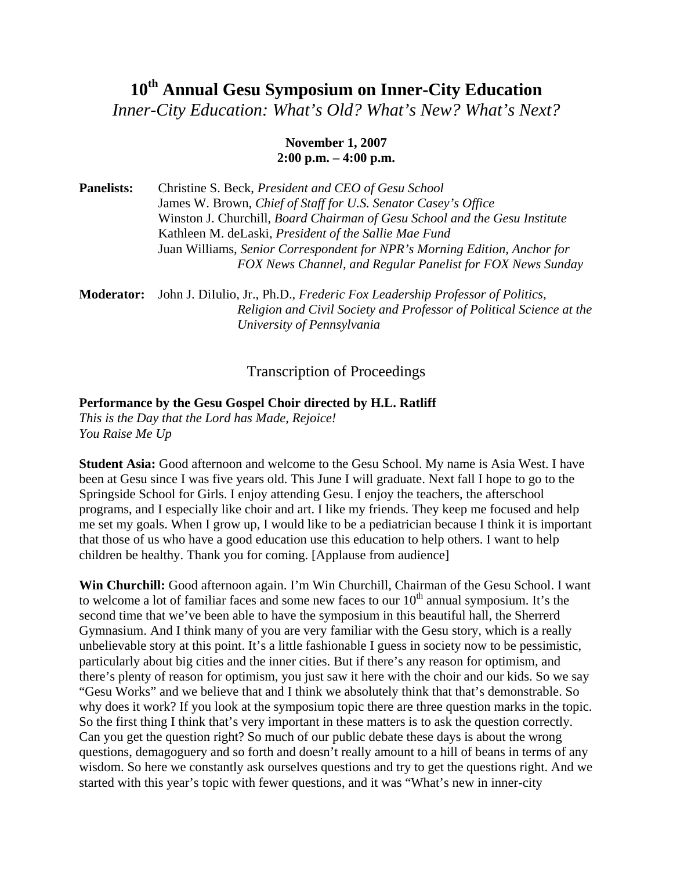# 10<sup>th</sup> Annual Gesu Symposium on Inner-City Education

*Inner-City Education: What's Old? What's New? What's Next?* 

### **November 1, 2007 2:00 p.m. – 4:00 p.m.**

**Panelists:** Christine S. Beck, *President and CEO of Gesu School* James W. Brown, *Chief of Staff for U.S. Senator Casey's Office* Winston J. Churchill, *Board Chairman of Gesu School and the Gesu Institute* Kathleen M. deLaski, *President of the Sallie Mae Fund* Juan Williams, *Senior Correspondent for NPR's Morning Edition, Anchor for FOX News Channel, and Regular Panelist for FOX News Sunday* 

**Moderator:** John J. DiIulio, Jr., Ph.D., *Frederic Fox Leadership Professor of Politics, Religion and Civil Society and Professor of Political Science at the University of Pennsylvania* 

# Transcription of Proceedings

#### **Performance by the Gesu Gospel Choir directed by H.L. Ratliff**

*This is the Day that the Lord has Made, Rejoice! You Raise Me Up* 

**Student Asia:** Good afternoon and welcome to the Gesu School. My name is Asia West. I have been at Gesu since I was five years old. This June I will graduate. Next fall I hope to go to the Springside School for Girls. I enjoy attending Gesu. I enjoy the teachers, the afterschool programs, and I especially like choir and art. I like my friends. They keep me focused and help me set my goals. When I grow up, I would like to be a pediatrician because I think it is important that those of us who have a good education use this education to help others. I want to help children be healthy. Thank you for coming. [Applause from audience]

**Win Churchill:** Good afternoon again. I'm Win Churchill, Chairman of the Gesu School. I want to welcome a lot of familiar faces and some new faces to our  $10<sup>th</sup>$  annual symposium. It's the second time that we've been able to have the symposium in this beautiful hall, the Sherrerd Gymnasium. And I think many of you are very familiar with the Gesu story, which is a really unbelievable story at this point. It's a little fashionable I guess in society now to be pessimistic, particularly about big cities and the inner cities. But if there's any reason for optimism, and there's plenty of reason for optimism, you just saw it here with the choir and our kids. So we say "Gesu Works" and we believe that and I think we absolutely think that that's demonstrable. So why does it work? If you look at the symposium topic there are three question marks in the topic. So the first thing I think that's very important in these matters is to ask the question correctly. Can you get the question right? So much of our public debate these days is about the wrong questions, demagoguery and so forth and doesn't really amount to a hill of beans in terms of any wisdom. So here we constantly ask ourselves questions and try to get the questions right. And we started with this year's topic with fewer questions, and it was "What's new in inner-city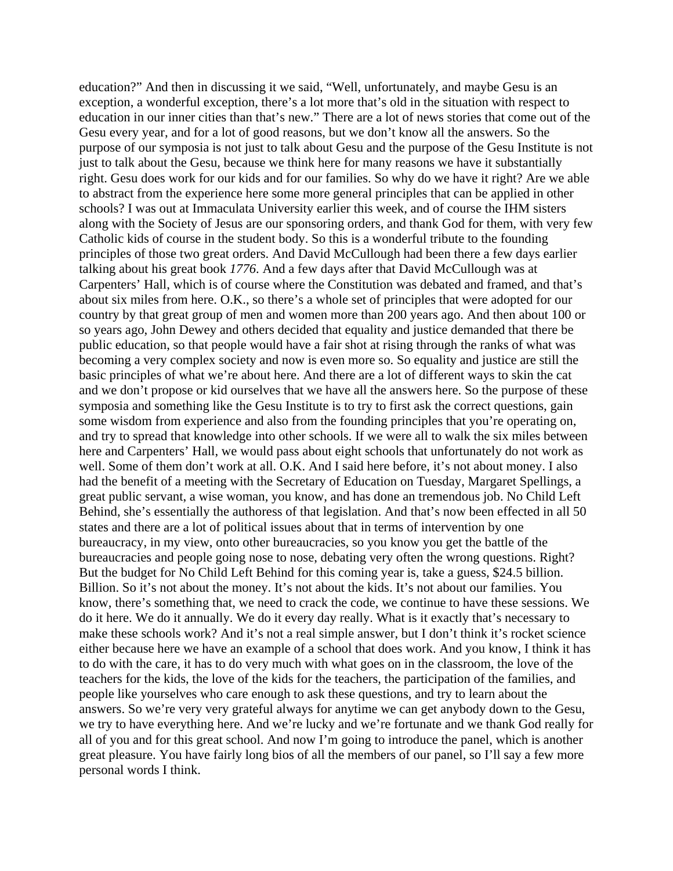education?" And then in discussing it we said, "Well, unfortunately, and maybe Gesu is an exception, a wonderful exception, there's a lot more that's old in the situation with respect to education in our inner cities than that's new." There are a lot of news stories that come out of the Gesu every year, and for a lot of good reasons, but we don't know all the answers. So the purpose of our symposia is not just to talk about Gesu and the purpose of the Gesu Institute is not just to talk about the Gesu, because we think here for many reasons we have it substantially right. Gesu does work for our kids and for our families. So why do we have it right? Are we able to abstract from the experience here some more general principles that can be applied in other schools? I was out at Immaculata University earlier this week, and of course the IHM sisters along with the Society of Jesus are our sponsoring orders, and thank God for them, with very few Catholic kids of course in the student body. So this is a wonderful tribute to the founding principles of those two great orders. And David McCullough had been there a few days earlier talking about his great book *1776*. And a few days after that David McCullough was at Carpenters' Hall, which is of course where the Constitution was debated and framed, and that's about six miles from here. O.K., so there's a whole set of principles that were adopted for our country by that great group of men and women more than 200 years ago. And then about 100 or so years ago, John Dewey and others decided that equality and justice demanded that there be public education, so that people would have a fair shot at rising through the ranks of what was becoming a very complex society and now is even more so. So equality and justice are still the basic principles of what we're about here. And there are a lot of different ways to skin the cat and we don't propose or kid ourselves that we have all the answers here. So the purpose of these symposia and something like the Gesu Institute is to try to first ask the correct questions, gain some wisdom from experience and also from the founding principles that you're operating on, and try to spread that knowledge into other schools. If we were all to walk the six miles between here and Carpenters' Hall, we would pass about eight schools that unfortunately do not work as well. Some of them don't work at all. O.K. And I said here before, it's not about money. I also had the benefit of a meeting with the Secretary of Education on Tuesday, Margaret Spellings, a great public servant, a wise woman, you know, and has done an tremendous job. No Child Left Behind, she's essentially the authoress of that legislation. And that's now been effected in all 50 states and there are a lot of political issues about that in terms of intervention by one bureaucracy, in my view, onto other bureaucracies, so you know you get the battle of the bureaucracies and people going nose to nose, debating very often the wrong questions. Right? But the budget for No Child Left Behind for this coming year is, take a guess, \$24.5 billion. Billion. So it's not about the money. It's not about the kids. It's not about our families. You know, there's something that, we need to crack the code, we continue to have these sessions. We do it here. We do it annually. We do it every day really. What is it exactly that's necessary to make these schools work? And it's not a real simple answer, but I don't think it's rocket science either because here we have an example of a school that does work. And you know, I think it has to do with the care, it has to do very much with what goes on in the classroom, the love of the teachers for the kids, the love of the kids for the teachers, the participation of the families, and people like yourselves who care enough to ask these questions, and try to learn about the answers. So we're very very grateful always for anytime we can get anybody down to the Gesu, we try to have everything here. And we're lucky and we're fortunate and we thank God really for all of you and for this great school. And now I'm going to introduce the panel, which is another great pleasure. You have fairly long bios of all the members of our panel, so I'll say a few more personal words I think.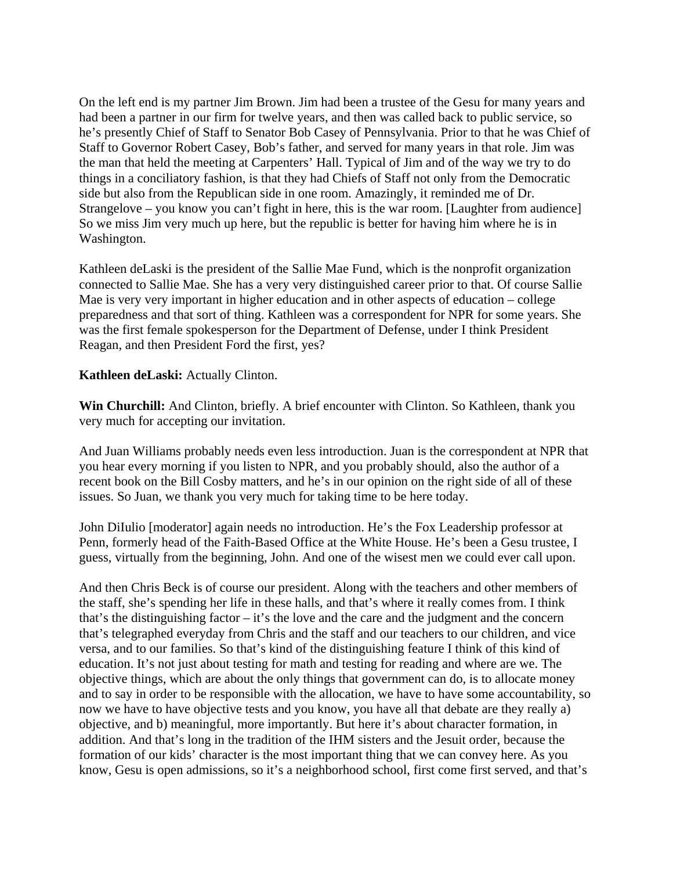On the left end is my partner Jim Brown. Jim had been a trustee of the Gesu for many years and had been a partner in our firm for twelve years, and then was called back to public service, so he's presently Chief of Staff to Senator Bob Casey of Pennsylvania. Prior to that he was Chief of Staff to Governor Robert Casey, Bob's father, and served for many years in that role. Jim was the man that held the meeting at Carpenters' Hall. Typical of Jim and of the way we try to do things in a conciliatory fashion, is that they had Chiefs of Staff not only from the Democratic side but also from the Republican side in one room. Amazingly, it reminded me of Dr. Strangelove – you know you can't fight in here, this is the war room. [Laughter from audience] So we miss Jim very much up here, but the republic is better for having him where he is in Washington.

Kathleen deLaski is the president of the Sallie Mae Fund, which is the nonprofit organization connected to Sallie Mae. She has a very very distinguished career prior to that. Of course Sallie Mae is very very important in higher education and in other aspects of education – college preparedness and that sort of thing. Kathleen was a correspondent for NPR for some years. She was the first female spokesperson for the Department of Defense, under I think President Reagan, and then President Ford the first, yes?

## **Kathleen deLaski:** Actually Clinton.

**Win Churchill:** And Clinton, briefly. A brief encounter with Clinton. So Kathleen, thank you very much for accepting our invitation.

And Juan Williams probably needs even less introduction. Juan is the correspondent at NPR that you hear every morning if you listen to NPR, and you probably should, also the author of a recent book on the Bill Cosby matters, and he's in our opinion on the right side of all of these issues. So Juan, we thank you very much for taking time to be here today.

John DiIulio [moderator] again needs no introduction. He's the Fox Leadership professor at Penn, formerly head of the Faith-Based Office at the White House. He's been a Gesu trustee, I guess, virtually from the beginning, John. And one of the wisest men we could ever call upon.

And then Chris Beck is of course our president. Along with the teachers and other members of the staff, she's spending her life in these halls, and that's where it really comes from. I think that's the distinguishing factor – it's the love and the care and the judgment and the concern that's telegraphed everyday from Chris and the staff and our teachers to our children, and vice versa, and to our families. So that's kind of the distinguishing feature I think of this kind of education. It's not just about testing for math and testing for reading and where are we. The objective things, which are about the only things that government can do, is to allocate money and to say in order to be responsible with the allocation, we have to have some accountability, so now we have to have objective tests and you know, you have all that debate are they really a) objective, and b) meaningful, more importantly. But here it's about character formation, in addition. And that's long in the tradition of the IHM sisters and the Jesuit order, because the formation of our kids' character is the most important thing that we can convey here. As you know, Gesu is open admissions, so it's a neighborhood school, first come first served, and that's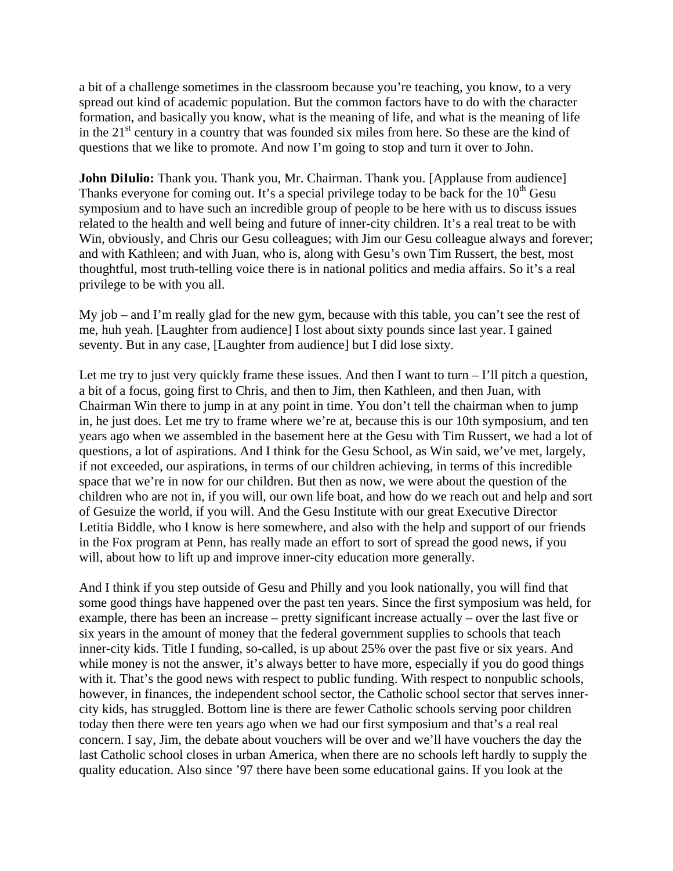a bit of a challenge sometimes in the classroom because you're teaching, you know, to a very spread out kind of academic population. But the common factors have to do with the character formation, and basically you know, what is the meaning of life, and what is the meaning of life in the  $21<sup>st</sup>$  century in a country that was founded six miles from here. So these are the kind of questions that we like to promote. And now I'm going to stop and turn it over to John.

**John DiIulio:** Thank you. Thank you, Mr. Chairman. Thank you. [Applause from audience] Thanks everyone for coming out. It's a special privilege today to be back for the  $10<sup>th</sup>$  Gesu symposium and to have such an incredible group of people to be here with us to discuss issues related to the health and well being and future of inner-city children. It's a real treat to be with Win, obviously, and Chris our Gesu colleagues; with Jim our Gesu colleague always and forever; and with Kathleen; and with Juan, who is, along with Gesu's own Tim Russert, the best, most thoughtful, most truth-telling voice there is in national politics and media affairs. So it's a real privilege to be with you all.

My job – and I'm really glad for the new gym, because with this table, you can't see the rest of me, huh yeah. [Laughter from audience] I lost about sixty pounds since last year. I gained seventy. But in any case, [Laughter from audience] but I did lose sixty.

Let me try to just very quickly frame these issues. And then I want to turn  $-I'll$  pitch a question, a bit of a focus, going first to Chris, and then to Jim, then Kathleen, and then Juan, with Chairman Win there to jump in at any point in time. You don't tell the chairman when to jump in, he just does. Let me try to frame where we're at, because this is our 10th symposium, and ten years ago when we assembled in the basement here at the Gesu with Tim Russert, we had a lot of questions, a lot of aspirations. And I think for the Gesu School, as Win said, we've met, largely, if not exceeded, our aspirations, in terms of our children achieving, in terms of this incredible space that we're in now for our children. But then as now, we were about the question of the children who are not in, if you will, our own life boat, and how do we reach out and help and sort of Gesuize the world, if you will. And the Gesu Institute with our great Executive Director Letitia Biddle, who I know is here somewhere, and also with the help and support of our friends in the Fox program at Penn, has really made an effort to sort of spread the good news, if you will, about how to lift up and improve inner-city education more generally.

And I think if you step outside of Gesu and Philly and you look nationally, you will find that some good things have happened over the past ten years. Since the first symposium was held, for example, there has been an increase – pretty significant increase actually – over the last five or six years in the amount of money that the federal government supplies to schools that teach inner-city kids. Title I funding, so-called, is up about 25% over the past five or six years. And while money is not the answer, it's always better to have more, especially if you do good things with it. That's the good news with respect to public funding. With respect to nonpublic schools, however, in finances, the independent school sector, the Catholic school sector that serves innercity kids, has struggled. Bottom line is there are fewer Catholic schools serving poor children today then there were ten years ago when we had our first symposium and that's a real real concern. I say, Jim, the debate about vouchers will be over and we'll have vouchers the day the last Catholic school closes in urban America, when there are no schools left hardly to supply the quality education. Also since '97 there have been some educational gains. If you look at the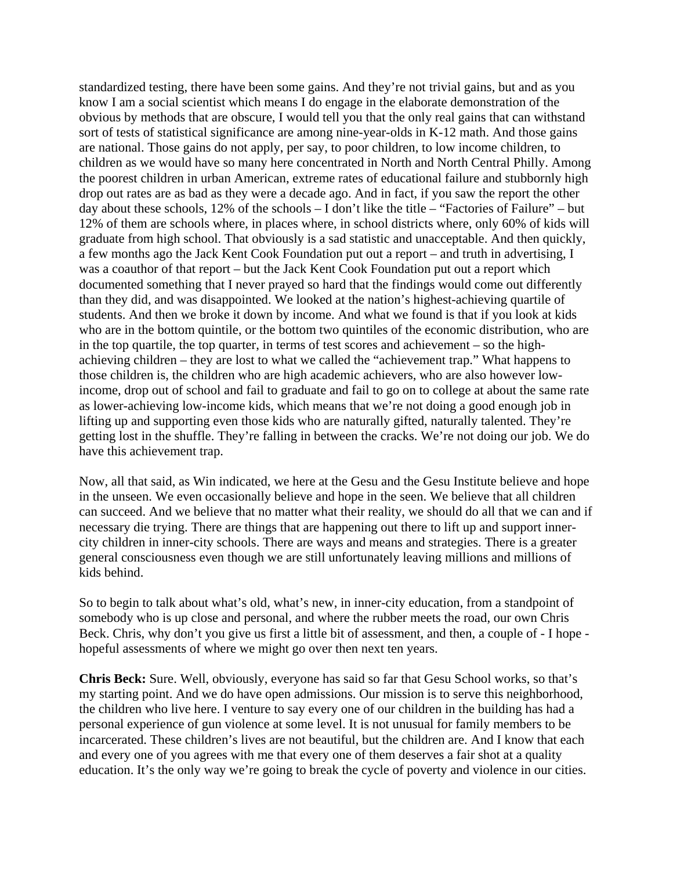standardized testing, there have been some gains. And they're not trivial gains, but and as you know I am a social scientist which means I do engage in the elaborate demonstration of the obvious by methods that are obscure, I would tell you that the only real gains that can withstand sort of tests of statistical significance are among nine-year-olds in K-12 math. And those gains are national. Those gains do not apply, per say, to poor children, to low income children, to children as we would have so many here concentrated in North and North Central Philly. Among the poorest children in urban American, extreme rates of educational failure and stubbornly high drop out rates are as bad as they were a decade ago. And in fact, if you saw the report the other day about these schools, 12% of the schools – I don't like the title – "Factories of Failure" – but 12% of them are schools where, in places where, in school districts where, only 60% of kids will graduate from high school. That obviously is a sad statistic and unacceptable. And then quickly, a few months ago the Jack Kent Cook Foundation put out a report – and truth in advertising, I was a coauthor of that report – but the Jack Kent Cook Foundation put out a report which documented something that I never prayed so hard that the findings would come out differently than they did, and was disappointed. We looked at the nation's highest-achieving quartile of students. And then we broke it down by income. And what we found is that if you look at kids who are in the bottom quintile, or the bottom two quintiles of the economic distribution, who are in the top quartile, the top quarter, in terms of test scores and achievement – so the highachieving children – they are lost to what we called the "achievement trap." What happens to those children is, the children who are high academic achievers, who are also however lowincome, drop out of school and fail to graduate and fail to go on to college at about the same rate as lower-achieving low-income kids, which means that we're not doing a good enough job in lifting up and supporting even those kids who are naturally gifted, naturally talented. They're getting lost in the shuffle. They're falling in between the cracks. We're not doing our job. We do have this achievement trap.

Now, all that said, as Win indicated, we here at the Gesu and the Gesu Institute believe and hope in the unseen. We even occasionally believe and hope in the seen. We believe that all children can succeed. And we believe that no matter what their reality, we should do all that we can and if necessary die trying. There are things that are happening out there to lift up and support innercity children in inner-city schools. There are ways and means and strategies. There is a greater general consciousness even though we are still unfortunately leaving millions and millions of kids behind.

So to begin to talk about what's old, what's new, in inner-city education, from a standpoint of somebody who is up close and personal, and where the rubber meets the road, our own Chris Beck. Chris, why don't you give us first a little bit of assessment, and then, a couple of - I hope hopeful assessments of where we might go over then next ten years.

**Chris Beck:** Sure. Well, obviously, everyone has said so far that Gesu School works, so that's my starting point. And we do have open admissions. Our mission is to serve this neighborhood, the children who live here. I venture to say every one of our children in the building has had a personal experience of gun violence at some level. It is not unusual for family members to be incarcerated. These children's lives are not beautiful, but the children are. And I know that each and every one of you agrees with me that every one of them deserves a fair shot at a quality education. It's the only way we're going to break the cycle of poverty and violence in our cities.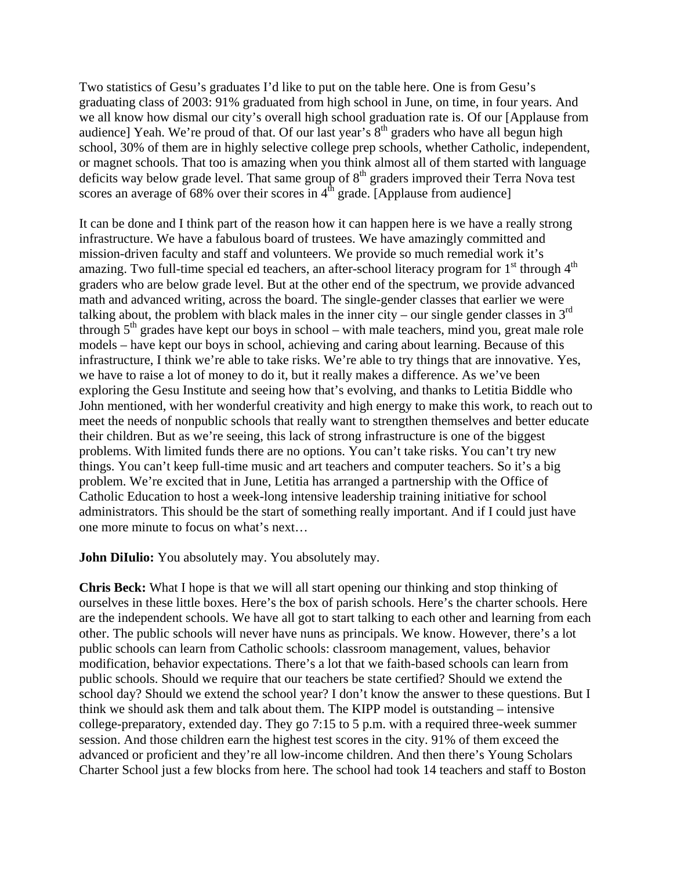Two statistics of Gesu's graduates I'd like to put on the table here. One is from Gesu's graduating class of 2003: 91% graduated from high school in June, on time, in four years. And we all know how dismal our city's overall high school graduation rate is. Of our [Applause from audience] Yeah. We're proud of that. Of our last year's  $8<sup>th</sup>$  graders who have all begun high school, 30% of them are in highly selective college prep schools, whether Catholic, independent, or magnet schools. That too is amazing when you think almost all of them started with language deficits way below grade level. That same group of 8<sup>th</sup> graders improved their Terra Nova test scores an average of  $68\%$  over their scores in  $4<sup>th</sup>$  grade. [Applause from audience]

It can be done and I think part of the reason how it can happen here is we have a really strong infrastructure. We have a fabulous board of trustees. We have amazingly committed and mission-driven faculty and staff and volunteers. We provide so much remedial work it's amazing. Two full-time special ed teachers, an after-school literacy program for  $1<sup>st</sup>$  through  $4<sup>th</sup>$ graders who are below grade level. But at the other end of the spectrum, we provide advanced math and advanced writing, across the board. The single-gender classes that earlier we were talking about, the problem with black males in the inner city – our single gender classes in  $3<sup>rd</sup>$ through  $5<sup>th</sup>$  grades have kept our boys in school – with male teachers, mind you, great male role models – have kept our boys in school, achieving and caring about learning. Because of this infrastructure, I think we're able to take risks. We're able to try things that are innovative. Yes, we have to raise a lot of money to do it, but it really makes a difference. As we've been exploring the Gesu Institute and seeing how that's evolving, and thanks to Letitia Biddle who John mentioned, with her wonderful creativity and high energy to make this work, to reach out to meet the needs of nonpublic schools that really want to strengthen themselves and better educate their children. But as we're seeing, this lack of strong infrastructure is one of the biggest problems. With limited funds there are no options. You can't take risks. You can't try new things. You can't keep full-time music and art teachers and computer teachers. So it's a big problem. We're excited that in June, Letitia has arranged a partnership with the Office of Catholic Education to host a week-long intensive leadership training initiative for school administrators. This should be the start of something really important. And if I could just have one more minute to focus on what's next…

**John DiIulio:** You absolutely may. You absolutely may.

**Chris Beck:** What I hope is that we will all start opening our thinking and stop thinking of ourselves in these little boxes. Here's the box of parish schools. Here's the charter schools. Here are the independent schools. We have all got to start talking to each other and learning from each other. The public schools will never have nuns as principals. We know. However, there's a lot public schools can learn from Catholic schools: classroom management, values, behavior modification, behavior expectations. There's a lot that we faith-based schools can learn from public schools. Should we require that our teachers be state certified? Should we extend the school day? Should we extend the school year? I don't know the answer to these questions. But I think we should ask them and talk about them. The KIPP model is outstanding – intensive college-preparatory, extended day. They go 7:15 to 5 p.m. with a required three-week summer session. And those children earn the highest test scores in the city. 91% of them exceed the advanced or proficient and they're all low-income children. And then there's Young Scholars Charter School just a few blocks from here. The school had took 14 teachers and staff to Boston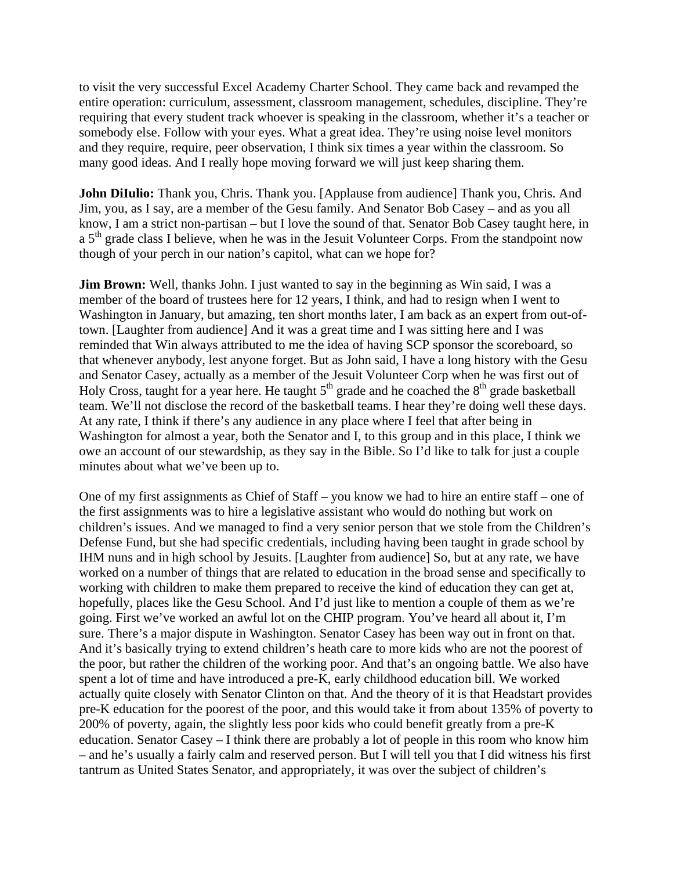to visit the very successful Excel Academy Charter School. They came back and revamped the entire operation: curriculum, assessment, classroom management, schedules, discipline. They're requiring that every student track whoever is speaking in the classroom, whether it's a teacher or somebody else. Follow with your eyes. What a great idea. They're using noise level monitors and they require, require, peer observation, I think six times a year within the classroom. So many good ideas. And I really hope moving forward we will just keep sharing them.

**John DiIulio:** Thank you, Chris. Thank you. [Applause from audience] Thank you, Chris. And Jim, you, as I say, are a member of the Gesu family. And Senator Bob Casey – and as you all know, I am a strict non-partisan – but I love the sound of that. Senator Bob Casey taught here, in a 5<sup>th</sup> grade class I believe, when he was in the Jesuit Volunteer Corps. From the standpoint now though of your perch in our nation's capitol, what can we hope for?

**Jim Brown:** Well, thanks John. I just wanted to say in the beginning as Win said, I was a member of the board of trustees here for 12 years, I think, and had to resign when I went to Washington in January, but amazing, ten short months later, I am back as an expert from out-oftown. [Laughter from audience] And it was a great time and I was sitting here and I was reminded that Win always attributed to me the idea of having SCP sponsor the scoreboard, so that whenever anybody, lest anyone forget. But as John said, I have a long history with the Gesu and Senator Casey, actually as a member of the Jesuit Volunteer Corp when he was first out of Holy Cross, taught for a year here. He taught  $5<sup>th</sup>$  grade and he coached the  $8<sup>th</sup>$  grade basketball team. We'll not disclose the record of the basketball teams. I hear they're doing well these days. At any rate, I think if there's any audience in any place where I feel that after being in Washington for almost a year, both the Senator and I, to this group and in this place, I think we owe an account of our stewardship, as they say in the Bible. So I'd like to talk for just a couple minutes about what we've been up to.

One of my first assignments as Chief of Staff – you know we had to hire an entire staff – one of the first assignments was to hire a legislative assistant who would do nothing but work on children's issues. And we managed to find a very senior person that we stole from the Children's Defense Fund, but she had specific credentials, including having been taught in grade school by IHM nuns and in high school by Jesuits. [Laughter from audience] So, but at any rate, we have worked on a number of things that are related to education in the broad sense and specifically to working with children to make them prepared to receive the kind of education they can get at, hopefully, places like the Gesu School. And I'd just like to mention a couple of them as we're going. First we've worked an awful lot on the CHIP program. You've heard all about it, I'm sure. There's a major dispute in Washington. Senator Casey has been way out in front on that. And it's basically trying to extend children's heath care to more kids who are not the poorest of the poor, but rather the children of the working poor. And that's an ongoing battle. We also have spent a lot of time and have introduced a pre-K, early childhood education bill. We worked actually quite closely with Senator Clinton on that. And the theory of it is that Headstart provides pre-K education for the poorest of the poor, and this would take it from about 135% of poverty to 200% of poverty, again, the slightly less poor kids who could benefit greatly from a pre-K education. Senator Casey – I think there are probably a lot of people in this room who know him – and he's usually a fairly calm and reserved person. But I will tell you that I did witness his first tantrum as United States Senator, and appropriately, it was over the subject of children's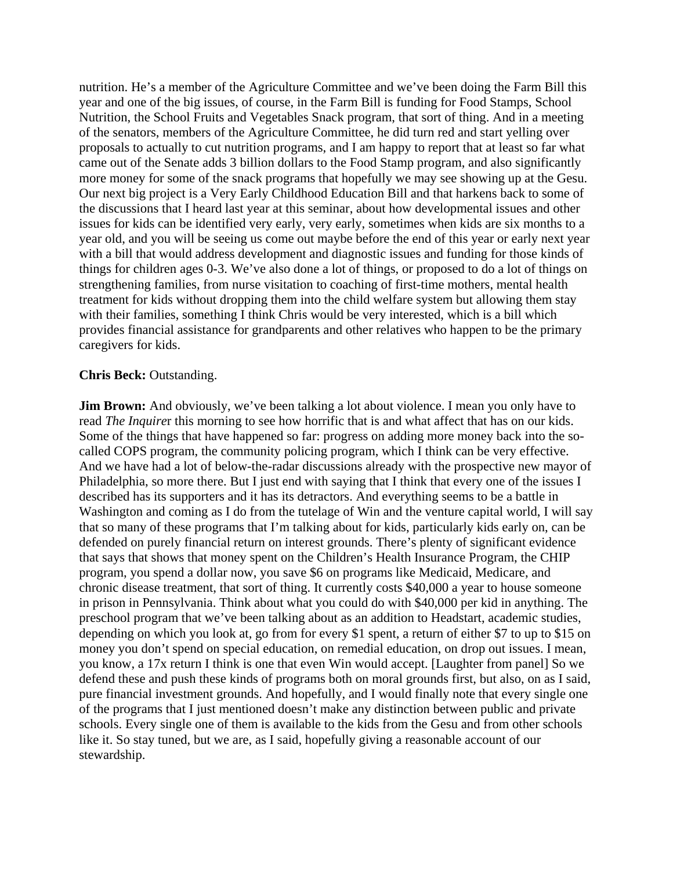nutrition. He's a member of the Agriculture Committee and we've been doing the Farm Bill this year and one of the big issues, of course, in the Farm Bill is funding for Food Stamps, School Nutrition, the School Fruits and Vegetables Snack program, that sort of thing. And in a meeting of the senators, members of the Agriculture Committee, he did turn red and start yelling over proposals to actually to cut nutrition programs, and I am happy to report that at least so far what came out of the Senate adds 3 billion dollars to the Food Stamp program, and also significantly more money for some of the snack programs that hopefully we may see showing up at the Gesu. Our next big project is a Very Early Childhood Education Bill and that harkens back to some of the discussions that I heard last year at this seminar, about how developmental issues and other issues for kids can be identified very early, very early, sometimes when kids are six months to a year old, and you will be seeing us come out maybe before the end of this year or early next year with a bill that would address development and diagnostic issues and funding for those kinds of things for children ages 0-3. We've also done a lot of things, or proposed to do a lot of things on strengthening families, from nurse visitation to coaching of first-time mothers, mental health treatment for kids without dropping them into the child welfare system but allowing them stay with their families, something I think Chris would be very interested, which is a bill which provides financial assistance for grandparents and other relatives who happen to be the primary caregivers for kids.

#### **Chris Beck:** Outstanding.

**Jim Brown:** And obviously, we've been talking a lot about violence. I mean you only have to read *The Inquire*r this morning to see how horrific that is and what affect that has on our kids. Some of the things that have happened so far: progress on adding more money back into the socalled COPS program, the community policing program, which I think can be very effective. And we have had a lot of below-the-radar discussions already with the prospective new mayor of Philadelphia, so more there. But I just end with saying that I think that every one of the issues I described has its supporters and it has its detractors. And everything seems to be a battle in Washington and coming as I do from the tutelage of Win and the venture capital world, I will say that so many of these programs that I'm talking about for kids, particularly kids early on, can be defended on purely financial return on interest grounds. There's plenty of significant evidence that says that shows that money spent on the Children's Health Insurance Program, the CHIP program, you spend a dollar now, you save \$6 on programs like Medicaid, Medicare, and chronic disease treatment, that sort of thing. It currently costs \$40,000 a year to house someone in prison in Pennsylvania. Think about what you could do with \$40,000 per kid in anything. The preschool program that we've been talking about as an addition to Headstart, academic studies, depending on which you look at, go from for every \$1 spent, a return of either \$7 to up to \$15 on money you don't spend on special education, on remedial education, on drop out issues. I mean, you know, a 17x return I think is one that even Win would accept. [Laughter from panel] So we defend these and push these kinds of programs both on moral grounds first, but also, on as I said, pure financial investment grounds. And hopefully, and I would finally note that every single one of the programs that I just mentioned doesn't make any distinction between public and private schools. Every single one of them is available to the kids from the Gesu and from other schools like it. So stay tuned, but we are, as I said, hopefully giving a reasonable account of our stewardship.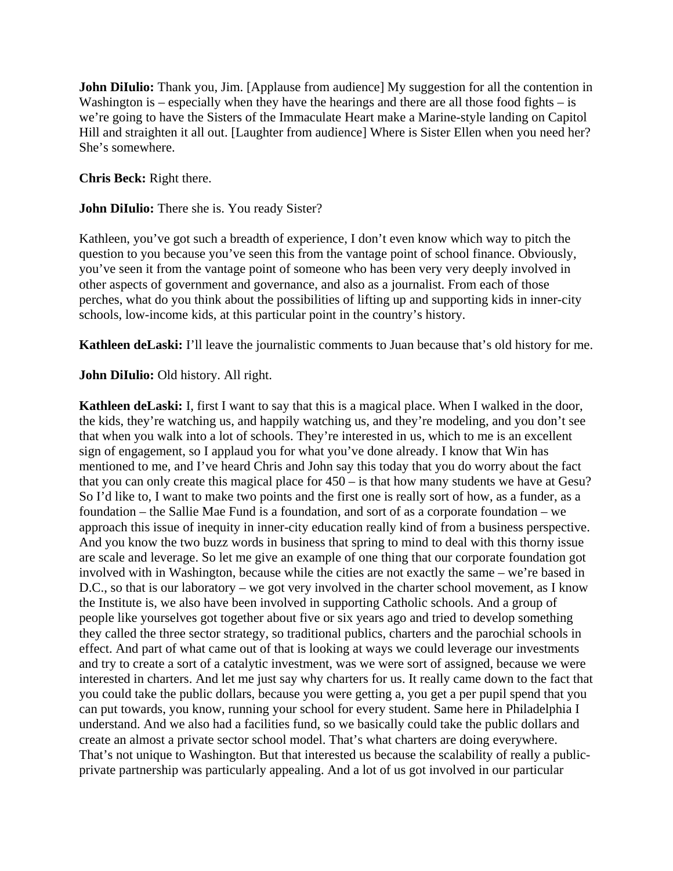**John DiIulio:** Thank you, Jim. [Applause from audience] My suggestion for all the contention in Washington is – especially when they have the hearings and there are all those food fights – is we're going to have the Sisters of the Immaculate Heart make a Marine-style landing on Capitol Hill and straighten it all out. [Laughter from audience] Where is Sister Ellen when you need her? She's somewhere.

**Chris Beck:** Right there.

**John DiIulio:** There she is. You ready Sister?

Kathleen, you've got such a breadth of experience, I don't even know which way to pitch the question to you because you've seen this from the vantage point of school finance. Obviously, you've seen it from the vantage point of someone who has been very very deeply involved in other aspects of government and governance, and also as a journalist. From each of those perches, what do you think about the possibilities of lifting up and supporting kids in inner-city schools, low-income kids, at this particular point in the country's history.

**Kathleen deLaski:** I'll leave the journalistic comments to Juan because that's old history for me.

**John DiIulio:** Old history. All right.

**Kathleen deLaski:** I, first I want to say that this is a magical place. When I walked in the door, the kids, they're watching us, and happily watching us, and they're modeling, and you don't see that when you walk into a lot of schools. They're interested in us, which to me is an excellent sign of engagement, so I applaud you for what you've done already. I know that Win has mentioned to me, and I've heard Chris and John say this today that you do worry about the fact that you can only create this magical place for 450 – is that how many students we have at Gesu? So I'd like to, I want to make two points and the first one is really sort of how, as a funder, as a foundation – the Sallie Mae Fund is a foundation, and sort of as a corporate foundation – we approach this issue of inequity in inner-city education really kind of from a business perspective. And you know the two buzz words in business that spring to mind to deal with this thorny issue are scale and leverage. So let me give an example of one thing that our corporate foundation got involved with in Washington, because while the cities are not exactly the same – we're based in D.C., so that is our laboratory – we got very involved in the charter school movement, as I know the Institute is, we also have been involved in supporting Catholic schools. And a group of people like yourselves got together about five or six years ago and tried to develop something they called the three sector strategy, so traditional publics, charters and the parochial schools in effect. And part of what came out of that is looking at ways we could leverage our investments and try to create a sort of a catalytic investment, was we were sort of assigned, because we were interested in charters. And let me just say why charters for us. It really came down to the fact that you could take the public dollars, because you were getting a, you get a per pupil spend that you can put towards, you know, running your school for every student. Same here in Philadelphia I understand. And we also had a facilities fund, so we basically could take the public dollars and create an almost a private sector school model. That's what charters are doing everywhere. That's not unique to Washington. But that interested us because the scalability of really a publicprivate partnership was particularly appealing. And a lot of us got involved in our particular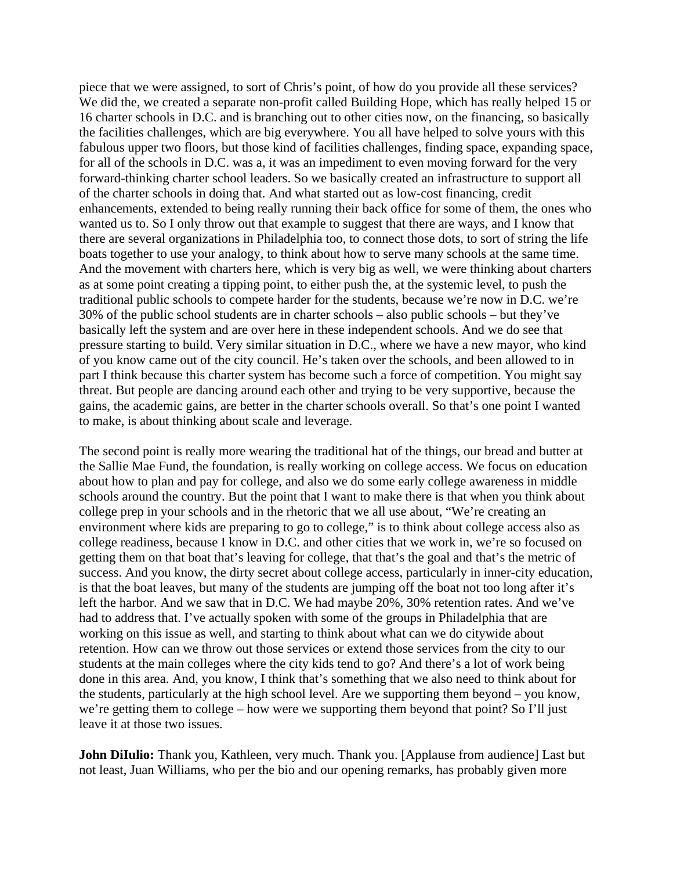piece that we were assigned, to sort of Chris's point, of how do you provide all these services? We did the, we created a separate non-profit called Building Hope, which has really helped 15 or 16 charter schools in D.C. and is branching out to other cities now, on the financing, so basically the facilities challenges, which are big everywhere. You all have helped to solve yours with this fabulous upper two floors, but those kind of facilities challenges, finding space, expanding space, for all of the schools in D.C. was a, it was an impediment to even moving forward for the very forward-thinking charter school leaders. So we basically created an infrastructure to support all of the charter schools in doing that. And what started out as low-cost financing, credit enhancements, extended to being really running their back office for some of them, the ones who wanted us to. So I only throw out that example to suggest that there are ways, and I know that there are several organizations in Philadelphia too, to connect those dots, to sort of string the life boats together to use your analogy, to think about how to serve many schools at the same time. And the movement with charters here, which is very big as well, we were thinking about charters as at some point creating a tipping point, to either push the, at the systemic level, to push the traditional public schools to compete harder for the students, because we're now in D.C. we're 30% of the public school students are in charter schools – also public schools – but they've basically left the system and are over here in these independent schools. And we do see that pressure starting to build. Very similar situation in D.C., where we have a new mayor, who kind of you know came out of the city council. He's taken over the schools, and been allowed to in part I think because this charter system has become such a force of competition. You might say threat. But people are dancing around each other and trying to be very supportive, because the gains, the academic gains, are better in the charter schools overall. So that's one point I wanted to make, is about thinking about scale and leverage.

The second point is really more wearing the traditional hat of the things, our bread and butter at the Sallie Mae Fund, the foundation, is really working on college access. We focus on education about how to plan and pay for college, and also we do some early college awareness in middle schools around the country. But the point that I want to make there is that when you think about college prep in your schools and in the rhetoric that we all use about, "We're creating an environment where kids are preparing to go to college," is to think about college access also as college readiness, because I know in D.C. and other cities that we work in, we're so focused on getting them on that boat that's leaving for college, that that's the goal and that's the metric of success. And you know, the dirty secret about college access, particularly in inner-city education, is that the boat leaves, but many of the students are jumping off the boat not too long after it's left the harbor. And we saw that in D.C. We had maybe 20%, 30% retention rates. And we've had to address that. I've actually spoken with some of the groups in Philadelphia that are working on this issue as well, and starting to think about what can we do citywide about retention. How can we throw out those services or extend those services from the city to our students at the main colleges where the city kids tend to go? And there's a lot of work being done in this area. And, you know, I think that's something that we also need to think about for the students, particularly at the high school level. Are we supporting them beyond – you know, we're getting them to college – how were we supporting them beyond that point? So I'll just leave it at those two issues.

**John DiIulio:** Thank you, Kathleen, very much. Thank you. [Applause from audience] Last but not least, Juan Williams, who per the bio and our opening remarks, has probably given more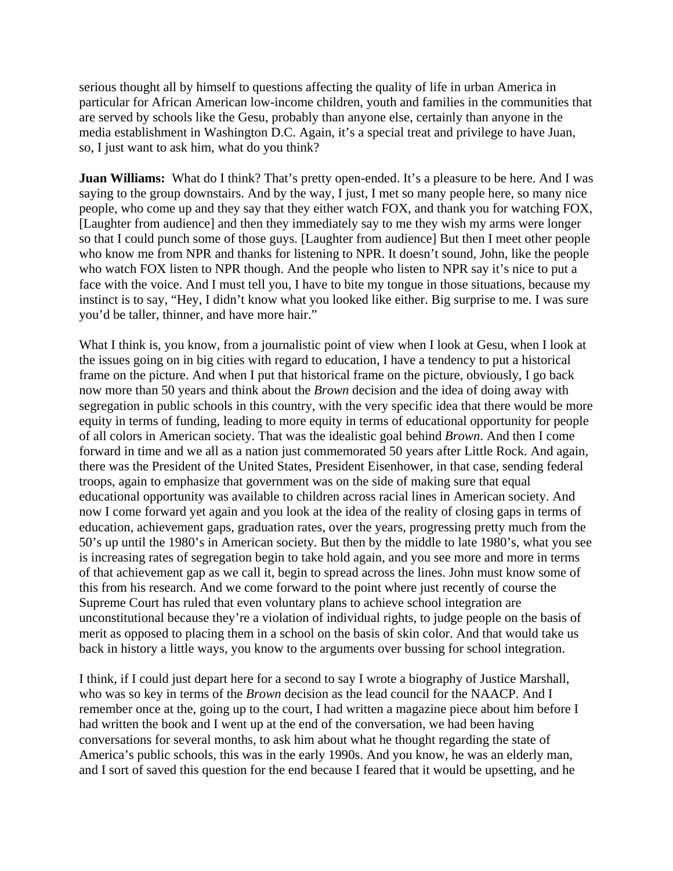serious thought all by himself to questions affecting the quality of life in urban America in particular for African American low-income children, youth and families in the communities that are served by schools like the Gesu, probably than anyone else, certainly than anyone in the media establishment in Washington D.C. Again, it's a special treat and privilege to have Juan, so, I just want to ask him, what do you think?

**Juan Williams:** What do I think? That's pretty open-ended. It's a pleasure to be here. And I was saying to the group downstairs. And by the way, I just, I met so many people here, so many nice people, who come up and they say that they either watch FOX, and thank you for watching FOX, [Laughter from audience] and then they immediately say to me they wish my arms were longer so that I could punch some of those guys. [Laughter from audience] But then I meet other people who know me from NPR and thanks for listening to NPR. It doesn't sound, John, like the people who watch FOX listen to NPR though. And the people who listen to NPR say it's nice to put a face with the voice. And I must tell you, I have to bite my tongue in those situations, because my instinct is to say, "Hey, I didn't know what you looked like either. Big surprise to me. I was sure you'd be taller, thinner, and have more hair."

What I think is, you know, from a journalistic point of view when I look at Gesu, when I look at the issues going on in big cities with regard to education, I have a tendency to put a historical frame on the picture. And when I put that historical frame on the picture, obviously, I go back now more than 50 years and think about the *Brown* decision and the idea of doing away with segregation in public schools in this country, with the very specific idea that there would be more equity in terms of funding, leading to more equity in terms of educational opportunity for people of all colors in American society. That was the idealistic goal behind *Brown*. And then I come forward in time and we all as a nation just commemorated 50 years after Little Rock. And again, there was the President of the United States, President Eisenhower, in that case, sending federal troops, again to emphasize that government was on the side of making sure that equal educational opportunity was available to children across racial lines in American society. And now I come forward yet again and you look at the idea of the reality of closing gaps in terms of education, achievement gaps, graduation rates, over the years, progressing pretty much from the 50's up until the 1980's in American society. But then by the middle to late 1980's, what you see is increasing rates of segregation begin to take hold again, and you see more and more in terms of that achievement gap as we call it, begin to spread across the lines. John must know some of this from his research. And we come forward to the point where just recently of course the Supreme Court has ruled that even voluntary plans to achieve school integration are unconstitutional because they're a violation of individual rights, to judge people on the basis of merit as opposed to placing them in a school on the basis of skin color. And that would take us back in history a little ways, you know to the arguments over bussing for school integration.

I think, if I could just depart here for a second to say I wrote a biography of Justice Marshall, who was so key in terms of the *Brown* decision as the lead council for the NAACP. And I remember once at the, going up to the court, I had written a magazine piece about him before I had written the book and I went up at the end of the conversation, we had been having conversations for several months, to ask him about what he thought regarding the state of America's public schools, this was in the early 1990s. And you know, he was an elderly man, and I sort of saved this question for the end because I feared that it would be upsetting, and he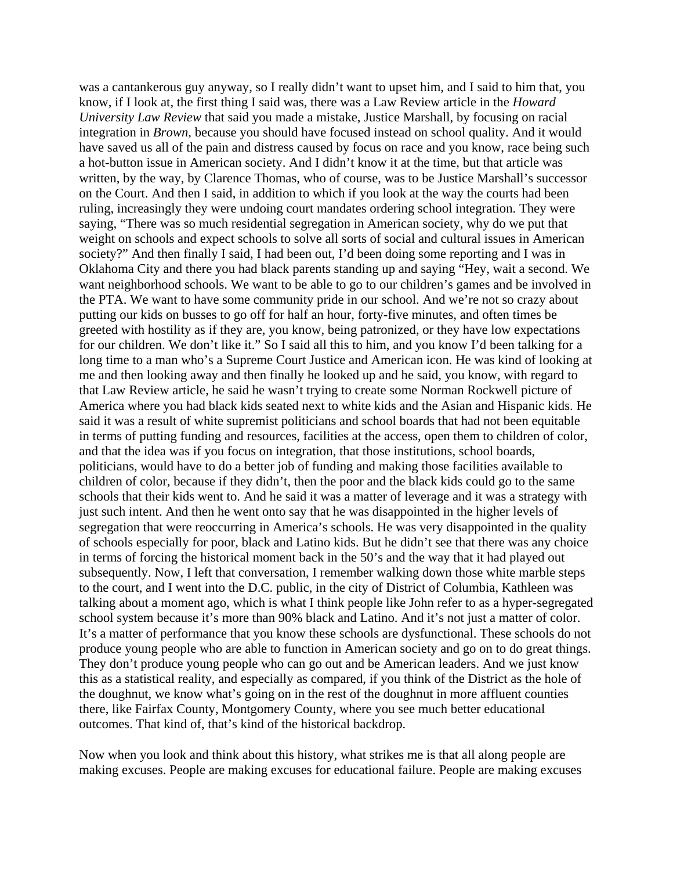was a cantankerous guy anyway, so I really didn't want to upset him, and I said to him that, you know, if I look at, the first thing I said was, there was a Law Review article in the *Howard University Law Review* that said you made a mistake, Justice Marshall, by focusing on racial integration in *Brown*, because you should have focused instead on school quality. And it would have saved us all of the pain and distress caused by focus on race and you know, race being such a hot-button issue in American society. And I didn't know it at the time, but that article was written, by the way, by Clarence Thomas, who of course, was to be Justice Marshall's successor on the Court. And then I said, in addition to which if you look at the way the courts had been ruling, increasingly they were undoing court mandates ordering school integration. They were saying, "There was so much residential segregation in American society, why do we put that weight on schools and expect schools to solve all sorts of social and cultural issues in American society?" And then finally I said, I had been out, I'd been doing some reporting and I was in Oklahoma City and there you had black parents standing up and saying "Hey, wait a second. We want neighborhood schools. We want to be able to go to our children's games and be involved in the PTA. We want to have some community pride in our school. And we're not so crazy about putting our kids on busses to go off for half an hour, forty-five minutes, and often times be greeted with hostility as if they are, you know, being patronized, or they have low expectations for our children. We don't like it." So I said all this to him, and you know I'd been talking for a long time to a man who's a Supreme Court Justice and American icon. He was kind of looking at me and then looking away and then finally he looked up and he said, you know, with regard to that Law Review article, he said he wasn't trying to create some Norman Rockwell picture of America where you had black kids seated next to white kids and the Asian and Hispanic kids. He said it was a result of white supremist politicians and school boards that had not been equitable in terms of putting funding and resources, facilities at the access, open them to children of color, and that the idea was if you focus on integration, that those institutions, school boards, politicians, would have to do a better job of funding and making those facilities available to children of color, because if they didn't, then the poor and the black kids could go to the same schools that their kids went to. And he said it was a matter of leverage and it was a strategy with just such intent. And then he went onto say that he was disappointed in the higher levels of segregation that were reoccurring in America's schools. He was very disappointed in the quality of schools especially for poor, black and Latino kids. But he didn't see that there was any choice in terms of forcing the historical moment back in the 50's and the way that it had played out subsequently. Now, I left that conversation, I remember walking down those white marble steps to the court, and I went into the D.C. public, in the city of District of Columbia, Kathleen was talking about a moment ago, which is what I think people like John refer to as a hyper-segregated school system because it's more than 90% black and Latino. And it's not just a matter of color. It's a matter of performance that you know these schools are dysfunctional. These schools do not produce young people who are able to function in American society and go on to do great things. They don't produce young people who can go out and be American leaders. And we just know this as a statistical reality, and especially as compared, if you think of the District as the hole of the doughnut, we know what's going on in the rest of the doughnut in more affluent counties there, like Fairfax County, Montgomery County, where you see much better educational outcomes. That kind of, that's kind of the historical backdrop.

Now when you look and think about this history, what strikes me is that all along people are making excuses. People are making excuses for educational failure. People are making excuses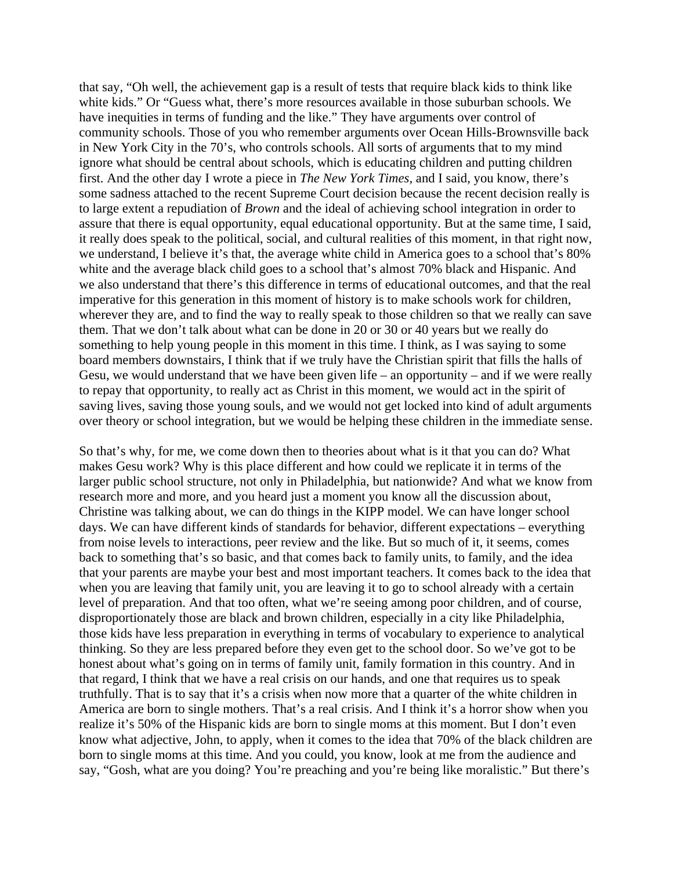that say, "Oh well, the achievement gap is a result of tests that require black kids to think like white kids." Or "Guess what, there's more resources available in those suburban schools. We have inequities in terms of funding and the like." They have arguments over control of community schools. Those of you who remember arguments over Ocean Hills-Brownsville back in New York City in the 70's, who controls schools. All sorts of arguments that to my mind ignore what should be central about schools, which is educating children and putting children first. And the other day I wrote a piece in *The New York Times*, and I said, you know, there's some sadness attached to the recent Supreme Court decision because the recent decision really is to large extent a repudiation of *Brown* and the ideal of achieving school integration in order to assure that there is equal opportunity, equal educational opportunity. But at the same time, I said, it really does speak to the political, social, and cultural realities of this moment, in that right now, we understand, I believe it's that, the average white child in America goes to a school that's 80% white and the average black child goes to a school that's almost 70% black and Hispanic. And we also understand that there's this difference in terms of educational outcomes, and that the real imperative for this generation in this moment of history is to make schools work for children, wherever they are, and to find the way to really speak to those children so that we really can save them. That we don't talk about what can be done in 20 or 30 or 40 years but we really do something to help young people in this moment in this time. I think, as I was saying to some board members downstairs, I think that if we truly have the Christian spirit that fills the halls of Gesu, we would understand that we have been given life – an opportunity – and if we were really to repay that opportunity, to really act as Christ in this moment, we would act in the spirit of saving lives, saving those young souls, and we would not get locked into kind of adult arguments over theory or school integration, but we would be helping these children in the immediate sense.

So that's why, for me, we come down then to theories about what is it that you can do? What makes Gesu work? Why is this place different and how could we replicate it in terms of the larger public school structure, not only in Philadelphia, but nationwide? And what we know from research more and more, and you heard just a moment you know all the discussion about, Christine was talking about, we can do things in the KIPP model. We can have longer school days. We can have different kinds of standards for behavior, different expectations – everything from noise levels to interactions, peer review and the like. But so much of it, it seems, comes back to something that's so basic, and that comes back to family units, to family, and the idea that your parents are maybe your best and most important teachers. It comes back to the idea that when you are leaving that family unit, you are leaving it to go to school already with a certain level of preparation. And that too often, what we're seeing among poor children, and of course, disproportionately those are black and brown children, especially in a city like Philadelphia, those kids have less preparation in everything in terms of vocabulary to experience to analytical thinking. So they are less prepared before they even get to the school door. So we've got to be honest about what's going on in terms of family unit, family formation in this country. And in that regard, I think that we have a real crisis on our hands, and one that requires us to speak truthfully. That is to say that it's a crisis when now more that a quarter of the white children in America are born to single mothers. That's a real crisis. And I think it's a horror show when you realize it's 50% of the Hispanic kids are born to single moms at this moment. But I don't even know what adjective, John, to apply, when it comes to the idea that 70% of the black children are born to single moms at this time. And you could, you know, look at me from the audience and say, "Gosh, what are you doing? You're preaching and you're being like moralistic." But there's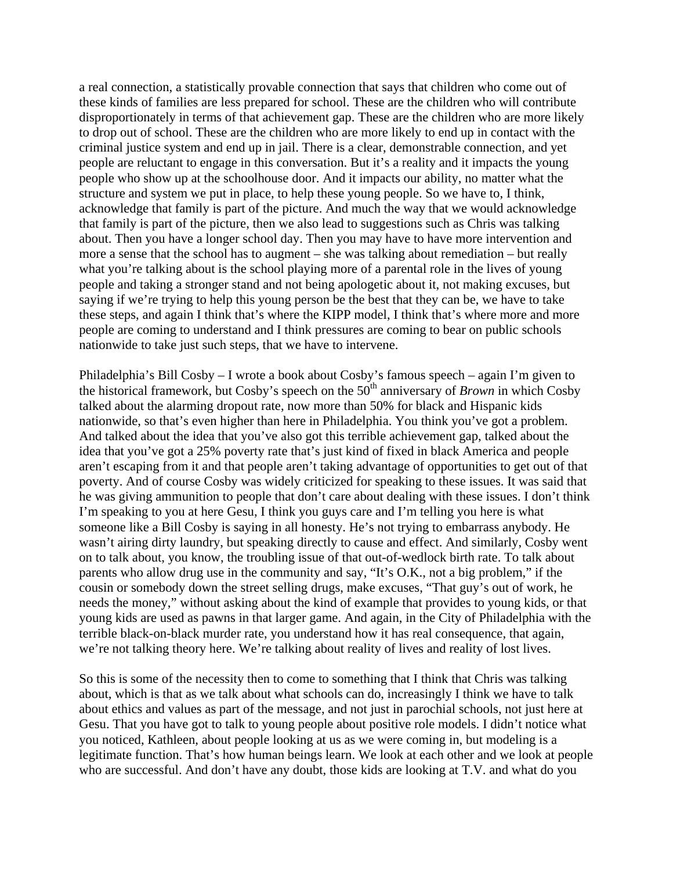a real connection, a statistically provable connection that says that children who come out of these kinds of families are less prepared for school. These are the children who will contribute disproportionately in terms of that achievement gap. These are the children who are more likely to drop out of school. These are the children who are more likely to end up in contact with the criminal justice system and end up in jail. There is a clear, demonstrable connection, and yet people are reluctant to engage in this conversation. But it's a reality and it impacts the young people who show up at the schoolhouse door. And it impacts our ability, no matter what the structure and system we put in place, to help these young people. So we have to, I think, acknowledge that family is part of the picture. And much the way that we would acknowledge that family is part of the picture, then we also lead to suggestions such as Chris was talking about. Then you have a longer school day. Then you may have to have more intervention and more a sense that the school has to augment – she was talking about remediation – but really what you're talking about is the school playing more of a parental role in the lives of young people and taking a stronger stand and not being apologetic about it, not making excuses, but saying if we're trying to help this young person be the best that they can be, we have to take these steps, and again I think that's where the KIPP model, I think that's where more and more people are coming to understand and I think pressures are coming to bear on public schools nationwide to take just such steps, that we have to intervene.

Philadelphia's Bill Cosby – I wrote a book about Cosby's famous speech – again I'm given to the historical framework, but Cosby's speech on the 50<sup>th</sup> anniversary of *Brown* in which Cosby talked about the alarming dropout rate, now more than 50% for black and Hispanic kids nationwide, so that's even higher than here in Philadelphia. You think you've got a problem. And talked about the idea that you've also got this terrible achievement gap, talked about the idea that you've got a 25% poverty rate that's just kind of fixed in black America and people aren't escaping from it and that people aren't taking advantage of opportunities to get out of that poverty. And of course Cosby was widely criticized for speaking to these issues. It was said that he was giving ammunition to people that don't care about dealing with these issues. I don't think I'm speaking to you at here Gesu, I think you guys care and I'm telling you here is what someone like a Bill Cosby is saying in all honesty. He's not trying to embarrass anybody. He wasn't airing dirty laundry, but speaking directly to cause and effect. And similarly, Cosby went on to talk about, you know, the troubling issue of that out-of-wedlock birth rate. To talk about parents who allow drug use in the community and say, "It's O.K., not a big problem," if the cousin or somebody down the street selling drugs, make excuses, "That guy's out of work, he needs the money," without asking about the kind of example that provides to young kids, or that young kids are used as pawns in that larger game. And again, in the City of Philadelphia with the terrible black-on-black murder rate, you understand how it has real consequence, that again, we're not talking theory here. We're talking about reality of lives and reality of lost lives.

So this is some of the necessity then to come to something that I think that Chris was talking about, which is that as we talk about what schools can do, increasingly I think we have to talk about ethics and values as part of the message, and not just in parochial schools, not just here at Gesu. That you have got to talk to young people about positive role models. I didn't notice what you noticed, Kathleen, about people looking at us as we were coming in, but modeling is a legitimate function. That's how human beings learn. We look at each other and we look at people who are successful. And don't have any doubt, those kids are looking at T.V. and what do you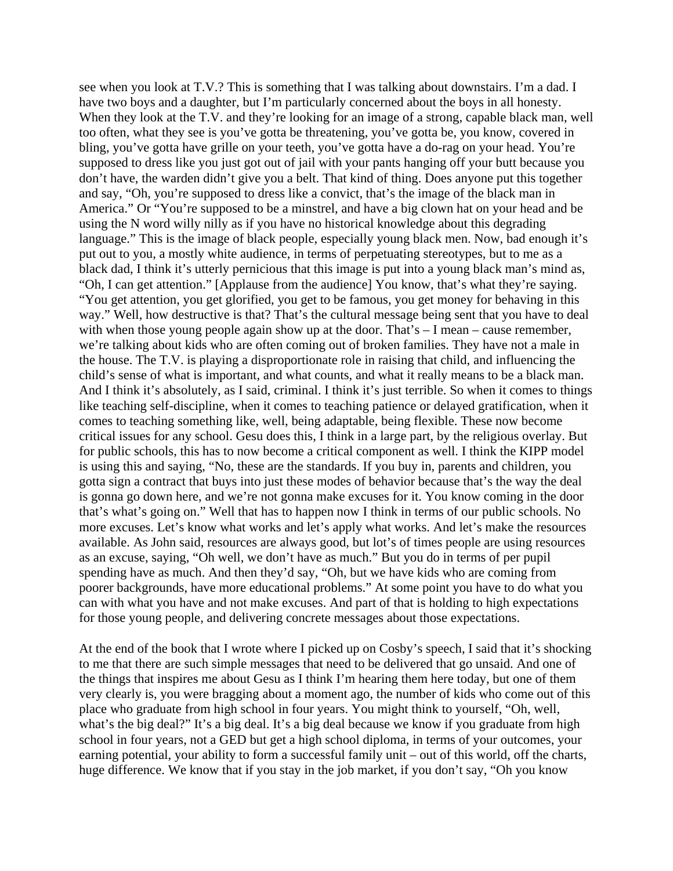see when you look at T.V.? This is something that I was talking about downstairs. I'm a dad. I have two boys and a daughter, but I'm particularly concerned about the boys in all honesty. When they look at the T.V. and they're looking for an image of a strong, capable black man, well too often, what they see is you've gotta be threatening, you've gotta be, you know, covered in bling, you've gotta have grille on your teeth, you've gotta have a do-rag on your head. You're supposed to dress like you just got out of jail with your pants hanging off your butt because you don't have, the warden didn't give you a belt. That kind of thing. Does anyone put this together and say, "Oh, you're supposed to dress like a convict, that's the image of the black man in America." Or "You're supposed to be a minstrel, and have a big clown hat on your head and be using the N word willy nilly as if you have no historical knowledge about this degrading language." This is the image of black people, especially young black men. Now, bad enough it's put out to you, a mostly white audience, in terms of perpetuating stereotypes, but to me as a black dad, I think it's utterly pernicious that this image is put into a young black man's mind as, "Oh, I can get attention." [Applause from the audience] You know, that's what they're saying. "You get attention, you get glorified, you get to be famous, you get money for behaving in this way." Well, how destructive is that? That's the cultural message being sent that you have to deal with when those young people again show up at the door. That's  $- I$  mean – cause remember, we're talking about kids who are often coming out of broken families. They have not a male in the house. The T.V. is playing a disproportionate role in raising that child, and influencing the child's sense of what is important, and what counts, and what it really means to be a black man. And I think it's absolutely, as I said, criminal. I think it's just terrible. So when it comes to things like teaching self-discipline, when it comes to teaching patience or delayed gratification, when it comes to teaching something like, well, being adaptable, being flexible. These now become critical issues for any school. Gesu does this, I think in a large part, by the religious overlay. But for public schools, this has to now become a critical component as well. I think the KIPP model is using this and saying, "No, these are the standards. If you buy in, parents and children, you gotta sign a contract that buys into just these modes of behavior because that's the way the deal is gonna go down here, and we're not gonna make excuses for it. You know coming in the door that's what's going on." Well that has to happen now I think in terms of our public schools. No more excuses. Let's know what works and let's apply what works. And let's make the resources available. As John said, resources are always good, but lot's of times people are using resources as an excuse, saying, "Oh well, we don't have as much." But you do in terms of per pupil spending have as much. And then they'd say, "Oh, but we have kids who are coming from poorer backgrounds, have more educational problems." At some point you have to do what you can with what you have and not make excuses. And part of that is holding to high expectations for those young people, and delivering concrete messages about those expectations.

At the end of the book that I wrote where I picked up on Cosby's speech, I said that it's shocking to me that there are such simple messages that need to be delivered that go unsaid. And one of the things that inspires me about Gesu as I think I'm hearing them here today, but one of them very clearly is, you were bragging about a moment ago, the number of kids who come out of this place who graduate from high school in four years. You might think to yourself, "Oh, well, what's the big deal?" It's a big deal. It's a big deal because we know if you graduate from high school in four years, not a GED but get a high school diploma, in terms of your outcomes, your earning potential, your ability to form a successful family unit – out of this world, off the charts, huge difference. We know that if you stay in the job market, if you don't say, "Oh you know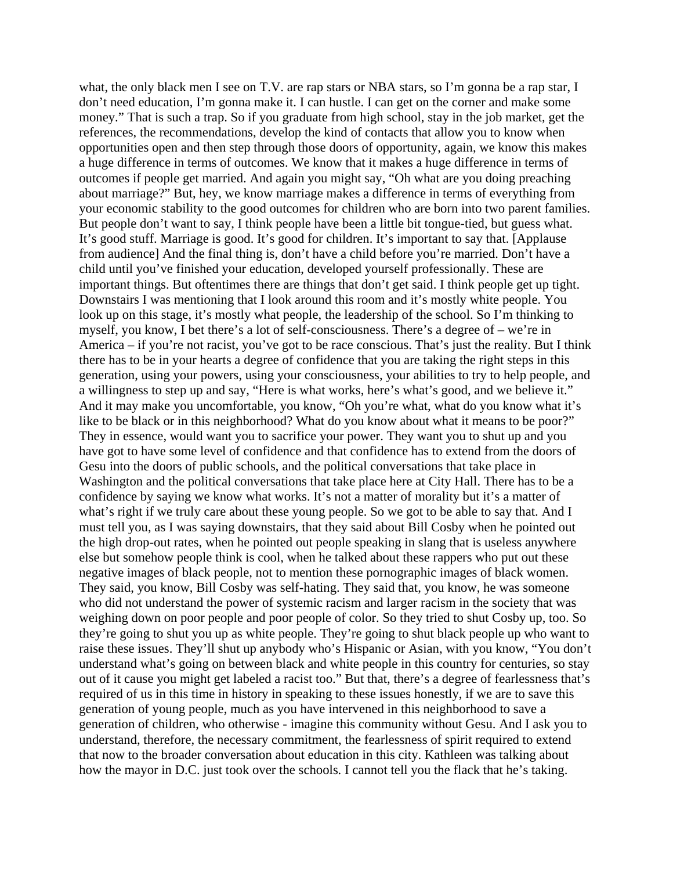what, the only black men I see on T.V. are rap stars or NBA stars, so I'm gonna be a rap star, I don't need education, I'm gonna make it. I can hustle. I can get on the corner and make some money." That is such a trap. So if you graduate from high school, stay in the job market, get the references, the recommendations, develop the kind of contacts that allow you to know when opportunities open and then step through those doors of opportunity, again, we know this makes a huge difference in terms of outcomes. We know that it makes a huge difference in terms of outcomes if people get married. And again you might say, "Oh what are you doing preaching about marriage?" But, hey, we know marriage makes a difference in terms of everything from your economic stability to the good outcomes for children who are born into two parent families. But people don't want to say, I think people have been a little bit tongue-tied, but guess what. It's good stuff. Marriage is good. It's good for children. It's important to say that. [Applause from audience] And the final thing is, don't have a child before you're married. Don't have a child until you've finished your education, developed yourself professionally. These are important things. But oftentimes there are things that don't get said. I think people get up tight. Downstairs I was mentioning that I look around this room and it's mostly white people. You look up on this stage, it's mostly what people, the leadership of the school. So I'm thinking to myself, you know, I bet there's a lot of self-consciousness. There's a degree of – we're in America – if you're not racist, you've got to be race conscious. That's just the reality. But I think there has to be in your hearts a degree of confidence that you are taking the right steps in this generation, using your powers, using your consciousness, your abilities to try to help people, and a willingness to step up and say, "Here is what works, here's what's good, and we believe it." And it may make you uncomfortable, you know, "Oh you're what, what do you know what it's like to be black or in this neighborhood? What do you know about what it means to be poor?" They in essence, would want you to sacrifice your power. They want you to shut up and you have got to have some level of confidence and that confidence has to extend from the doors of Gesu into the doors of public schools, and the political conversations that take place in Washington and the political conversations that take place here at City Hall. There has to be a confidence by saying we know what works. It's not a matter of morality but it's a matter of what's right if we truly care about these young people. So we got to be able to say that. And I must tell you, as I was saying downstairs, that they said about Bill Cosby when he pointed out the high drop-out rates, when he pointed out people speaking in slang that is useless anywhere else but somehow people think is cool, when he talked about these rappers who put out these negative images of black people, not to mention these pornographic images of black women. They said, you know, Bill Cosby was self-hating. They said that, you know, he was someone who did not understand the power of systemic racism and larger racism in the society that was weighing down on poor people and poor people of color. So they tried to shut Cosby up, too. So they're going to shut you up as white people. They're going to shut black people up who want to raise these issues. They'll shut up anybody who's Hispanic or Asian, with you know, "You don't understand what's going on between black and white people in this country for centuries, so stay out of it cause you might get labeled a racist too." But that, there's a degree of fearlessness that's required of us in this time in history in speaking to these issues honestly, if we are to save this generation of young people, much as you have intervened in this neighborhood to save a generation of children, who otherwise - imagine this community without Gesu. And I ask you to understand, therefore, the necessary commitment, the fearlessness of spirit required to extend that now to the broader conversation about education in this city. Kathleen was talking about how the mayor in D.C. just took over the schools. I cannot tell you the flack that he's taking.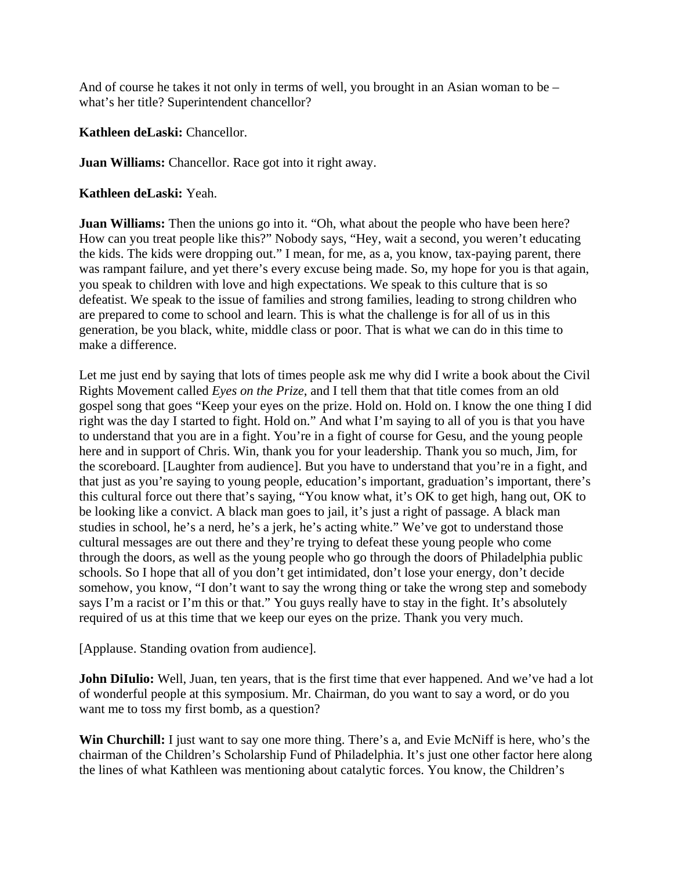And of course he takes it not only in terms of well, you brought in an Asian woman to be – what's her title? Superintendent chancellor?

**Kathleen deLaski:** Chancellor.

**Juan Williams:** Chancellor. Race got into it right away.

**Kathleen deLaski:** Yeah.

**Juan Williams:** Then the unions go into it. "Oh, what about the people who have been here? How can you treat people like this?" Nobody says, "Hey, wait a second, you weren't educating the kids. The kids were dropping out." I mean, for me, as a, you know, tax-paying parent, there was rampant failure, and yet there's every excuse being made. So, my hope for you is that again, you speak to children with love and high expectations. We speak to this culture that is so defeatist. We speak to the issue of families and strong families, leading to strong children who are prepared to come to school and learn. This is what the challenge is for all of us in this generation, be you black, white, middle class or poor. That is what we can do in this time to make a difference.

Let me just end by saying that lots of times people ask me why did I write a book about the Civil Rights Movement called *Eyes on the Prize*, and I tell them that that title comes from an old gospel song that goes "Keep your eyes on the prize. Hold on. Hold on. I know the one thing I did right was the day I started to fight. Hold on." And what I'm saying to all of you is that you have to understand that you are in a fight. You're in a fight of course for Gesu, and the young people here and in support of Chris. Win, thank you for your leadership. Thank you so much, Jim, for the scoreboard. [Laughter from audience]. But you have to understand that you're in a fight, and that just as you're saying to young people, education's important, graduation's important, there's this cultural force out there that's saying, "You know what, it's OK to get high, hang out, OK to be looking like a convict. A black man goes to jail, it's just a right of passage. A black man studies in school, he's a nerd, he's a jerk, he's acting white." We've got to understand those cultural messages are out there and they're trying to defeat these young people who come through the doors, as well as the young people who go through the doors of Philadelphia public schools. So I hope that all of you don't get intimidated, don't lose your energy, don't decide somehow, you know, "I don't want to say the wrong thing or take the wrong step and somebody says I'm a racist or I'm this or that." You guys really have to stay in the fight. It's absolutely required of us at this time that we keep our eyes on the prize. Thank you very much.

[Applause. Standing ovation from audience].

**John DiIulio:** Well, Juan, ten years, that is the first time that ever happened. And we've had a lot of wonderful people at this symposium. Mr. Chairman, do you want to say a word, or do you want me to toss my first bomb, as a question?

**Win Churchill:** I just want to say one more thing. There's a, and Evie McNiff is here, who's the chairman of the Children's Scholarship Fund of Philadelphia. It's just one other factor here along the lines of what Kathleen was mentioning about catalytic forces. You know, the Children's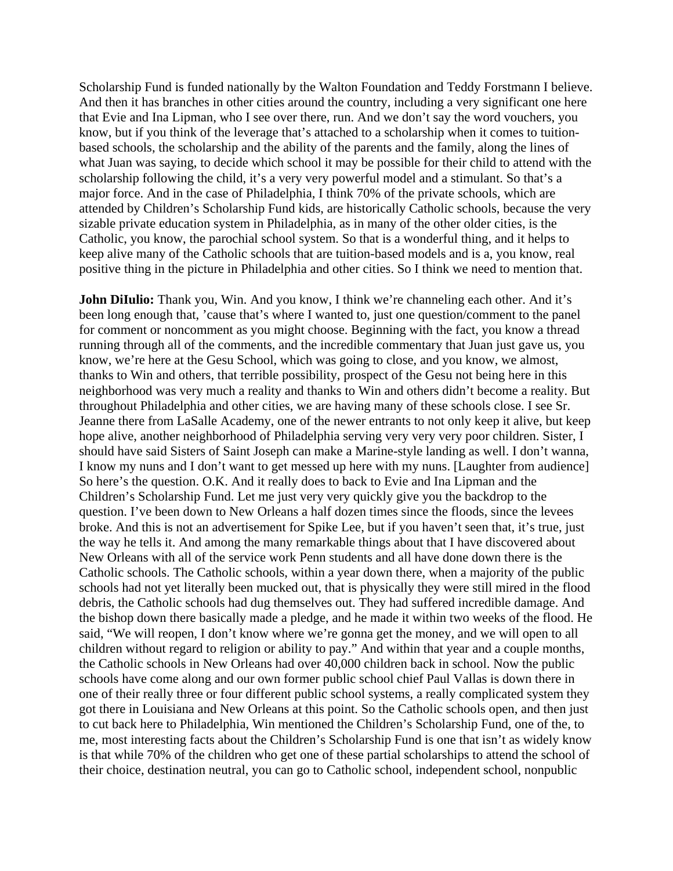Scholarship Fund is funded nationally by the Walton Foundation and Teddy Forstmann I believe. And then it has branches in other cities around the country, including a very significant one here that Evie and Ina Lipman, who I see over there, run. And we don't say the word vouchers, you know, but if you think of the leverage that's attached to a scholarship when it comes to tuitionbased schools, the scholarship and the ability of the parents and the family, along the lines of what Juan was saying, to decide which school it may be possible for their child to attend with the scholarship following the child, it's a very very powerful model and a stimulant. So that's a major force. And in the case of Philadelphia, I think 70% of the private schools, which are attended by Children's Scholarship Fund kids, are historically Catholic schools, because the very sizable private education system in Philadelphia, as in many of the other older cities, is the Catholic, you know, the parochial school system. So that is a wonderful thing, and it helps to keep alive many of the Catholic schools that are tuition-based models and is a, you know, real positive thing in the picture in Philadelphia and other cities. So I think we need to mention that.

**John DiIulio:** Thank you, Win. And you know, I think we're channeling each other. And it's been long enough that, 'cause that's where I wanted to, just one question/comment to the panel for comment or noncomment as you might choose. Beginning with the fact, you know a thread running through all of the comments, and the incredible commentary that Juan just gave us, you know, we're here at the Gesu School, which was going to close, and you know, we almost, thanks to Win and others, that terrible possibility, prospect of the Gesu not being here in this neighborhood was very much a reality and thanks to Win and others didn't become a reality. But throughout Philadelphia and other cities, we are having many of these schools close. I see Sr. Jeanne there from LaSalle Academy, one of the newer entrants to not only keep it alive, but keep hope alive, another neighborhood of Philadelphia serving very very very poor children. Sister, I should have said Sisters of Saint Joseph can make a Marine-style landing as well. I don't wanna, I know my nuns and I don't want to get messed up here with my nuns. [Laughter from audience] So here's the question. O.K. And it really does to back to Evie and Ina Lipman and the Children's Scholarship Fund. Let me just very very quickly give you the backdrop to the question. I've been down to New Orleans a half dozen times since the floods, since the levees broke. And this is not an advertisement for Spike Lee, but if you haven't seen that, it's true, just the way he tells it. And among the many remarkable things about that I have discovered about New Orleans with all of the service work Penn students and all have done down there is the Catholic schools. The Catholic schools, within a year down there, when a majority of the public schools had not yet literally been mucked out, that is physically they were still mired in the flood debris, the Catholic schools had dug themselves out. They had suffered incredible damage. And the bishop down there basically made a pledge, and he made it within two weeks of the flood. He said, "We will reopen, I don't know where we're gonna get the money, and we will open to all children without regard to religion or ability to pay." And within that year and a couple months, the Catholic schools in New Orleans had over 40,000 children back in school. Now the public schools have come along and our own former public school chief Paul Vallas is down there in one of their really three or four different public school systems, a really complicated system they got there in Louisiana and New Orleans at this point. So the Catholic schools open, and then just to cut back here to Philadelphia, Win mentioned the Children's Scholarship Fund, one of the, to me, most interesting facts about the Children's Scholarship Fund is one that isn't as widely know is that while 70% of the children who get one of these partial scholarships to attend the school of their choice, destination neutral, you can go to Catholic school, independent school, nonpublic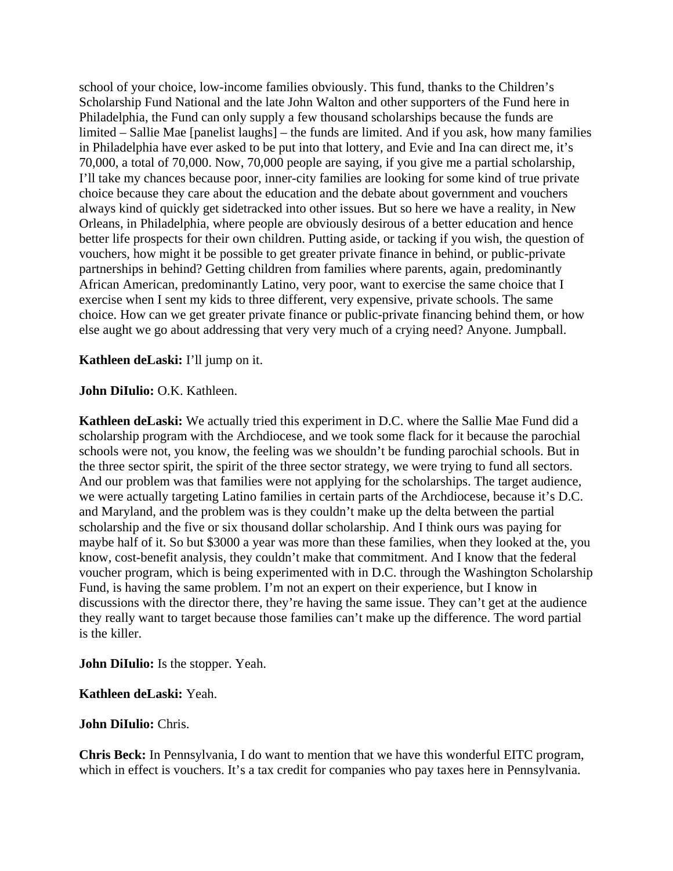school of your choice, low-income families obviously. This fund, thanks to the Children's Scholarship Fund National and the late John Walton and other supporters of the Fund here in Philadelphia, the Fund can only supply a few thousand scholarships because the funds are limited – Sallie Mae [panelist laughs] – the funds are limited. And if you ask, how many families in Philadelphia have ever asked to be put into that lottery, and Evie and Ina can direct me, it's 70,000, a total of 70,000. Now, 70,000 people are saying, if you give me a partial scholarship, I'll take my chances because poor, inner-city families are looking for some kind of true private choice because they care about the education and the debate about government and vouchers always kind of quickly get sidetracked into other issues. But so here we have a reality, in New Orleans, in Philadelphia, where people are obviously desirous of a better education and hence better life prospects for their own children. Putting aside, or tacking if you wish, the question of vouchers, how might it be possible to get greater private finance in behind, or public-private partnerships in behind? Getting children from families where parents, again, predominantly African American, predominantly Latino, very poor, want to exercise the same choice that I exercise when I sent my kids to three different, very expensive, private schools. The same choice. How can we get greater private finance or public-private financing behind them, or how else aught we go about addressing that very very much of a crying need? Anyone. Jumpball.

### **Kathleen deLaski:** I'll jump on it.

#### **John DiIulio:** O.K. Kathleen.

**Kathleen deLaski:** We actually tried this experiment in D.C. where the Sallie Mae Fund did a scholarship program with the Archdiocese, and we took some flack for it because the parochial schools were not, you know, the feeling was we shouldn't be funding parochial schools. But in the three sector spirit, the spirit of the three sector strategy, we were trying to fund all sectors. And our problem was that families were not applying for the scholarships. The target audience, we were actually targeting Latino families in certain parts of the Archdiocese, because it's D.C. and Maryland, and the problem was is they couldn't make up the delta between the partial scholarship and the five or six thousand dollar scholarship. And I think ours was paying for maybe half of it. So but \$3000 a year was more than these families, when they looked at the, you know, cost-benefit analysis, they couldn't make that commitment. And I know that the federal voucher program, which is being experimented with in D.C. through the Washington Scholarship Fund, is having the same problem. I'm not an expert on their experience, but I know in discussions with the director there, they're having the same issue. They can't get at the audience they really want to target because those families can't make up the difference. The word partial is the killer.

#### **John DiIulio:** Is the stopper. Yeah.

#### **Kathleen deLaski:** Yeah.

#### **John DiIulio:** Chris.

**Chris Beck:** In Pennsylvania, I do want to mention that we have this wonderful EITC program, which in effect is vouchers. It's a tax credit for companies who pay taxes here in Pennsylvania.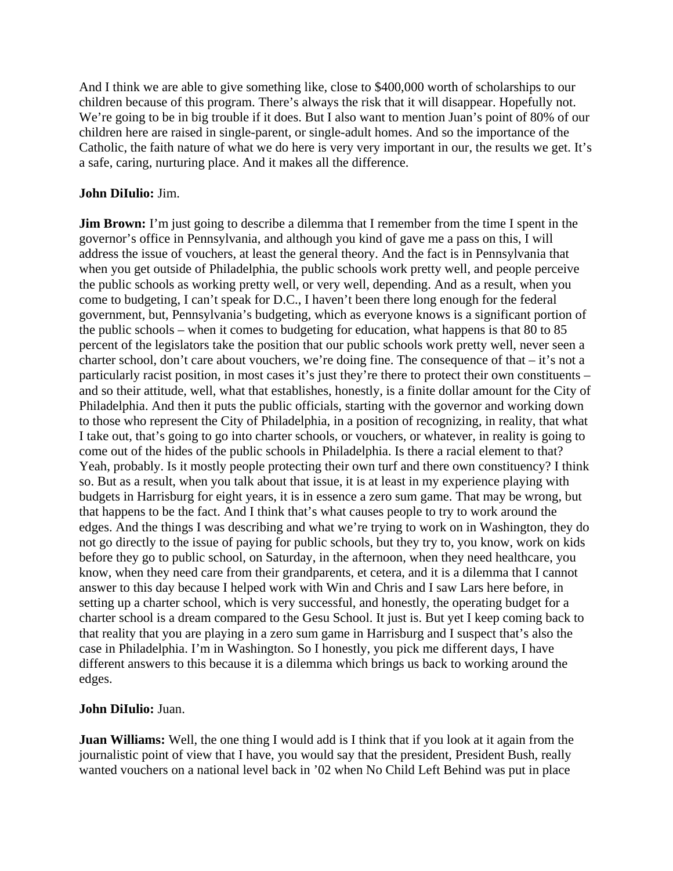And I think we are able to give something like, close to \$400,000 worth of scholarships to our children because of this program. There's always the risk that it will disappear. Hopefully not. We're going to be in big trouble if it does. But I also want to mention Juan's point of 80% of our children here are raised in single-parent, or single-adult homes. And so the importance of the Catholic, the faith nature of what we do here is very very important in our, the results we get. It's a safe, caring, nurturing place. And it makes all the difference.

## **John DiIulio:** Jim.

**Jim Brown:** I'm just going to describe a dilemma that I remember from the time I spent in the governor's office in Pennsylvania, and although you kind of gave me a pass on this, I will address the issue of vouchers, at least the general theory. And the fact is in Pennsylvania that when you get outside of Philadelphia, the public schools work pretty well, and people perceive the public schools as working pretty well, or very well, depending. And as a result, when you come to budgeting, I can't speak for D.C., I haven't been there long enough for the federal government, but, Pennsylvania's budgeting, which as everyone knows is a significant portion of the public schools – when it comes to budgeting for education, what happens is that 80 to 85 percent of the legislators take the position that our public schools work pretty well, never seen a charter school, don't care about vouchers, we're doing fine. The consequence of that – it's not a particularly racist position, in most cases it's just they're there to protect their own constituents – and so their attitude, well, what that establishes, honestly, is a finite dollar amount for the City of Philadelphia. And then it puts the public officials, starting with the governor and working down to those who represent the City of Philadelphia, in a position of recognizing, in reality, that what I take out, that's going to go into charter schools, or vouchers, or whatever, in reality is going to come out of the hides of the public schools in Philadelphia. Is there a racial element to that? Yeah, probably. Is it mostly people protecting their own turf and there own constituency? I think so. But as a result, when you talk about that issue, it is at least in my experience playing with budgets in Harrisburg for eight years, it is in essence a zero sum game. That may be wrong, but that happens to be the fact. And I think that's what causes people to try to work around the edges. And the things I was describing and what we're trying to work on in Washington, they do not go directly to the issue of paying for public schools, but they try to, you know, work on kids before they go to public school, on Saturday, in the afternoon, when they need healthcare, you know, when they need care from their grandparents, et cetera, and it is a dilemma that I cannot answer to this day because I helped work with Win and Chris and I saw Lars here before, in setting up a charter school, which is very successful, and honestly, the operating budget for a charter school is a dream compared to the Gesu School. It just is. But yet I keep coming back to that reality that you are playing in a zero sum game in Harrisburg and I suspect that's also the case in Philadelphia. I'm in Washington. So I honestly, you pick me different days, I have different answers to this because it is a dilemma which brings us back to working around the edges.

# **John DiIulio:** Juan.

**Juan Williams:** Well, the one thing I would add is I think that if you look at it again from the journalistic point of view that I have, you would say that the president, President Bush, really wanted vouchers on a national level back in '02 when No Child Left Behind was put in place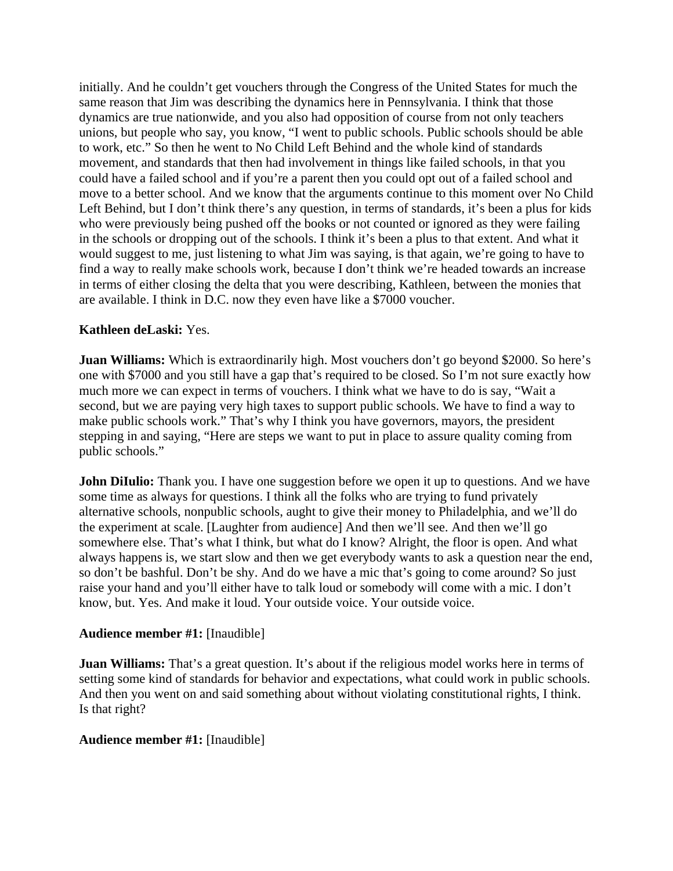initially. And he couldn't get vouchers through the Congress of the United States for much the same reason that Jim was describing the dynamics here in Pennsylvania. I think that those dynamics are true nationwide, and you also had opposition of course from not only teachers unions, but people who say, you know, "I went to public schools. Public schools should be able to work, etc." So then he went to No Child Left Behind and the whole kind of standards movement, and standards that then had involvement in things like failed schools, in that you could have a failed school and if you're a parent then you could opt out of a failed school and move to a better school. And we know that the arguments continue to this moment over No Child Left Behind, but I don't think there's any question, in terms of standards, it's been a plus for kids who were previously being pushed off the books or not counted or ignored as they were failing in the schools or dropping out of the schools. I think it's been a plus to that extent. And what it would suggest to me, just listening to what Jim was saying, is that again, we're going to have to find a way to really make schools work, because I don't think we're headed towards an increase in terms of either closing the delta that you were describing, Kathleen, between the monies that are available. I think in D.C. now they even have like a \$7000 voucher.

## **Kathleen deLaski:** Yes.

**Juan Williams:** Which is extraordinarily high. Most vouchers don't go beyond \$2000. So here's one with \$7000 and you still have a gap that's required to be closed. So I'm not sure exactly how much more we can expect in terms of vouchers. I think what we have to do is say, "Wait a second, but we are paying very high taxes to support public schools. We have to find a way to make public schools work." That's why I think you have governors, mayors, the president stepping in and saying, "Here are steps we want to put in place to assure quality coming from public schools."

**John DiIulio:** Thank you. I have one suggestion before we open it up to questions. And we have some time as always for questions. I think all the folks who are trying to fund privately alternative schools, nonpublic schools, aught to give their money to Philadelphia, and we'll do the experiment at scale. [Laughter from audience] And then we'll see. And then we'll go somewhere else. That's what I think, but what do I know? Alright, the floor is open. And what always happens is, we start slow and then we get everybody wants to ask a question near the end, so don't be bashful. Don't be shy. And do we have a mic that's going to come around? So just raise your hand and you'll either have to talk loud or somebody will come with a mic. I don't know, but. Yes. And make it loud. Your outside voice. Your outside voice.

## **Audience member #1:** [Inaudible]

**Juan Williams:** That's a great question. It's about if the religious model works here in terms of setting some kind of standards for behavior and expectations, what could work in public schools. And then you went on and said something about without violating constitutional rights, I think. Is that right?

## **Audience member #1:** [Inaudible]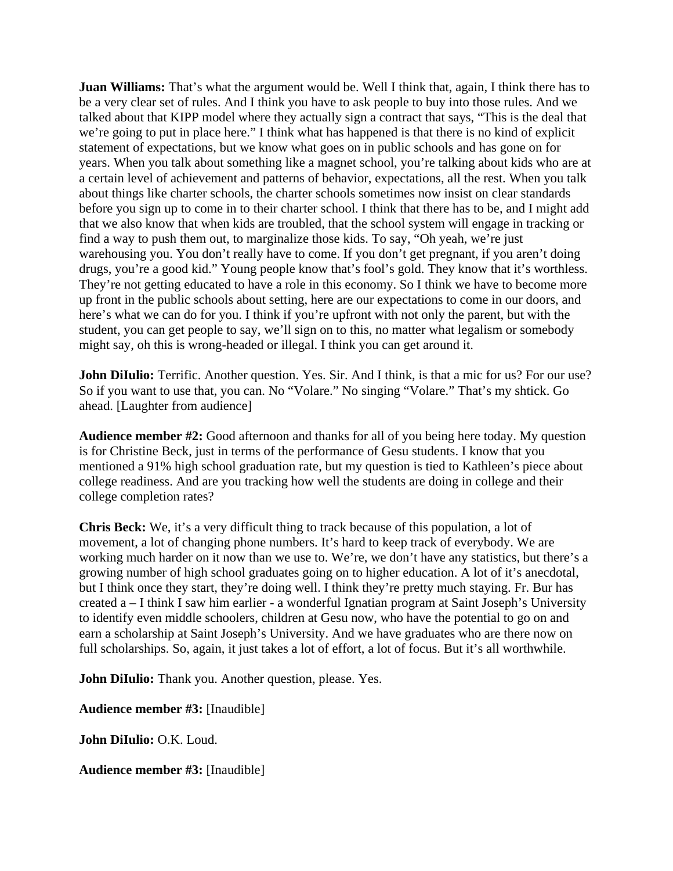**Juan Williams:** That's what the argument would be. Well I think that, again, I think there has to be a very clear set of rules. And I think you have to ask people to buy into those rules. And we talked about that KIPP model where they actually sign a contract that says, "This is the deal that we're going to put in place here." I think what has happened is that there is no kind of explicit statement of expectations, but we know what goes on in public schools and has gone on for years. When you talk about something like a magnet school, you're talking about kids who are at a certain level of achievement and patterns of behavior, expectations, all the rest. When you talk about things like charter schools, the charter schools sometimes now insist on clear standards before you sign up to come in to their charter school. I think that there has to be, and I might add that we also know that when kids are troubled, that the school system will engage in tracking or find a way to push them out, to marginalize those kids. To say, "Oh yeah, we're just warehousing you. You don't really have to come. If you don't get pregnant, if you aren't doing drugs, you're a good kid." Young people know that's fool's gold. They know that it's worthless. They're not getting educated to have a role in this economy. So I think we have to become more up front in the public schools about setting, here are our expectations to come in our doors, and here's what we can do for you. I think if you're upfront with not only the parent, but with the student, you can get people to say, we'll sign on to this, no matter what legalism or somebody might say, oh this is wrong-headed or illegal. I think you can get around it.

**John DiIulio:** Terrific. Another question. Yes. Sir. And I think, is that a mic for us? For our use? So if you want to use that, you can. No "Volare." No singing "Volare." That's my shtick. Go ahead. [Laughter from audience]

**Audience member #2:** Good afternoon and thanks for all of you being here today. My question is for Christine Beck, just in terms of the performance of Gesu students. I know that you mentioned a 91% high school graduation rate, but my question is tied to Kathleen's piece about college readiness. And are you tracking how well the students are doing in college and their college completion rates?

**Chris Beck:** We, it's a very difficult thing to track because of this population, a lot of movement, a lot of changing phone numbers. It's hard to keep track of everybody. We are working much harder on it now than we use to. We're, we don't have any statistics, but there's a growing number of high school graduates going on to higher education. A lot of it's anecdotal, but I think once they start, they're doing well. I think they're pretty much staying. Fr. Bur has created a – I think I saw him earlier - a wonderful Ignatian program at Saint Joseph's University to identify even middle schoolers, children at Gesu now, who have the potential to go on and earn a scholarship at Saint Joseph's University. And we have graduates who are there now on full scholarships. So, again, it just takes a lot of effort, a lot of focus. But it's all worthwhile.

**John DiIulio:** Thank you. Another question, please. Yes.

**Audience member #3:** [Inaudible]

**John DiIulio:** O.K. Loud.

**Audience member #3:** [Inaudible]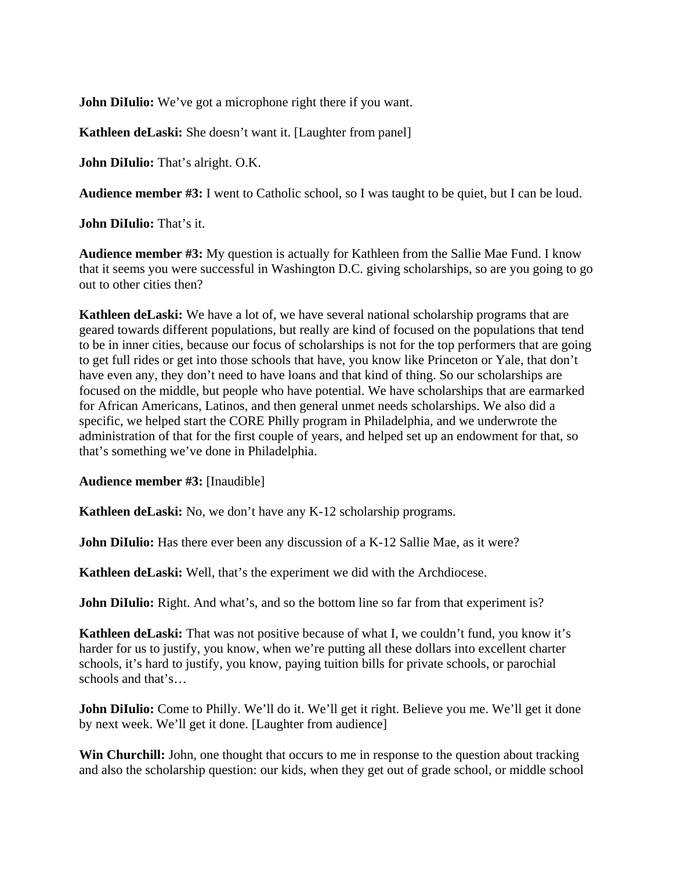**John DiIulio:** We've got a microphone right there if you want.

**Kathleen deLaski:** She doesn't want it. [Laughter from panel]

**John DiIulio:** That's alright. O.K.

**Audience member #3:** I went to Catholic school, so I was taught to be quiet, but I can be loud.

**John DiIulio:** That's it.

**Audience member #3:** My question is actually for Kathleen from the Sallie Mae Fund. I know that it seems you were successful in Washington D.C. giving scholarships, so are you going to go out to other cities then?

**Kathleen deLaski:** We have a lot of, we have several national scholarship programs that are geared towards different populations, but really are kind of focused on the populations that tend to be in inner cities, because our focus of scholarships is not for the top performers that are going to get full rides or get into those schools that have, you know like Princeton or Yale, that don't have even any, they don't need to have loans and that kind of thing. So our scholarships are focused on the middle, but people who have potential. We have scholarships that are earmarked for African Americans, Latinos, and then general unmet needs scholarships. We also did a specific, we helped start the CORE Philly program in Philadelphia, and we underwrote the administration of that for the first couple of years, and helped set up an endowment for that, so that's something we've done in Philadelphia.

**Audience member #3:** [Inaudible]

**Kathleen deLaski:** No, we don't have any K-12 scholarship programs.

**John DiIulio:** Has there ever been any discussion of a K-12 Sallie Mae, as it were?

**Kathleen deLaski:** Well, that's the experiment we did with the Archdiocese.

**John DiIulio:** Right. And what's, and so the bottom line so far from that experiment is?

**Kathleen deLaski:** That was not positive because of what I, we couldn't fund, you know it's harder for us to justify, you know, when we're putting all these dollars into excellent charter schools, it's hard to justify, you know, paying tuition bills for private schools, or parochial schools and that's…

**John DiIulio:** Come to Philly. We'll do it. We'll get it right. Believe you me. We'll get it done by next week. We'll get it done. [Laughter from audience]

**Win Churchill:** John, one thought that occurs to me in response to the question about tracking and also the scholarship question: our kids, when they get out of grade school, or middle school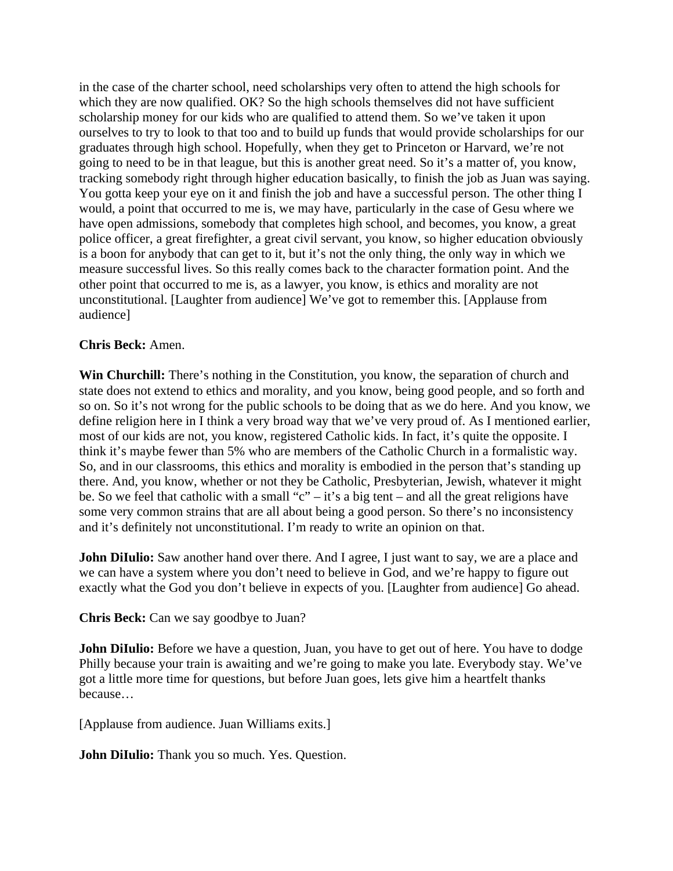in the case of the charter school, need scholarships very often to attend the high schools for which they are now qualified. OK? So the high schools themselves did not have sufficient scholarship money for our kids who are qualified to attend them. So we've taken it upon ourselves to try to look to that too and to build up funds that would provide scholarships for our graduates through high school. Hopefully, when they get to Princeton or Harvard, we're not going to need to be in that league, but this is another great need. So it's a matter of, you know, tracking somebody right through higher education basically, to finish the job as Juan was saying. You gotta keep your eye on it and finish the job and have a successful person. The other thing I would, a point that occurred to me is, we may have, particularly in the case of Gesu where we have open admissions, somebody that completes high school, and becomes, you know, a great police officer, a great firefighter, a great civil servant, you know, so higher education obviously is a boon for anybody that can get to it, but it's not the only thing, the only way in which we measure successful lives. So this really comes back to the character formation point. And the other point that occurred to me is, as a lawyer, you know, is ethics and morality are not unconstitutional. [Laughter from audience] We've got to remember this. [Applause from audience]

## **Chris Beck:** Amen.

**Win Churchill:** There's nothing in the Constitution, you know, the separation of church and state does not extend to ethics and morality, and you know, being good people, and so forth and so on. So it's not wrong for the public schools to be doing that as we do here. And you know, we define religion here in I think a very broad way that we've very proud of. As I mentioned earlier, most of our kids are not, you know, registered Catholic kids. In fact, it's quite the opposite. I think it's maybe fewer than 5% who are members of the Catholic Church in a formalistic way. So, and in our classrooms, this ethics and morality is embodied in the person that's standing up there. And, you know, whether or not they be Catholic, Presbyterian, Jewish, whatever it might be. So we feel that catholic with a small "c" – it's a big tent – and all the great religions have some very common strains that are all about being a good person. So there's no inconsistency and it's definitely not unconstitutional. I'm ready to write an opinion on that.

**John DiIulio:** Saw another hand over there. And I agree, I just want to say, we are a place and we can have a system where you don't need to believe in God, and we're happy to figure out exactly what the God you don't believe in expects of you. [Laughter from audience] Go ahead.

**Chris Beck:** Can we say goodbye to Juan?

**John DiIulio:** Before we have a question, Juan, you have to get out of here. You have to dodge Philly because your train is awaiting and we're going to make you late. Everybody stay. We've got a little more time for questions, but before Juan goes, lets give him a heartfelt thanks because…

[Applause from audience. Juan Williams exits.]

**John DiIulio:** Thank you so much. Yes. Question.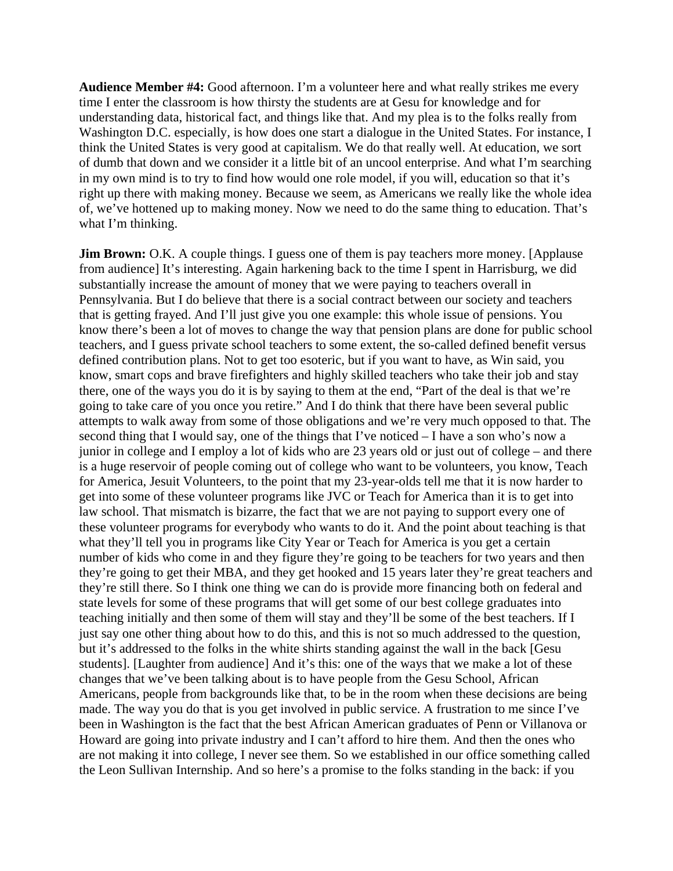**Audience Member #4:** Good afternoon. I'm a volunteer here and what really strikes me every time I enter the classroom is how thirsty the students are at Gesu for knowledge and for understanding data, historical fact, and things like that. And my plea is to the folks really from Washington D.C. especially, is how does one start a dialogue in the United States. For instance, I think the United States is very good at capitalism. We do that really well. At education, we sort of dumb that down and we consider it a little bit of an uncool enterprise. And what I'm searching in my own mind is to try to find how would one role model, if you will, education so that it's right up there with making money. Because we seem, as Americans we really like the whole idea of, we've hottened up to making money. Now we need to do the same thing to education. That's what I'm thinking.

**Jim Brown:** O.K. A couple things. I guess one of them is pay teachers more money. [Applause] from audience] It's interesting. Again harkening back to the time I spent in Harrisburg, we did substantially increase the amount of money that we were paying to teachers overall in Pennsylvania. But I do believe that there is a social contract between our society and teachers that is getting frayed. And I'll just give you one example: this whole issue of pensions. You know there's been a lot of moves to change the way that pension plans are done for public school teachers, and I guess private school teachers to some extent, the so-called defined benefit versus defined contribution plans. Not to get too esoteric, but if you want to have, as Win said, you know, smart cops and brave firefighters and highly skilled teachers who take their job and stay there, one of the ways you do it is by saying to them at the end, "Part of the deal is that we're going to take care of you once you retire." And I do think that there have been several public attempts to walk away from some of those obligations and we're very much opposed to that. The second thing that I would say, one of the things that I've noticed – I have a son who's now a junior in college and I employ a lot of kids who are 23 years old or just out of college – and there is a huge reservoir of people coming out of college who want to be volunteers, you know, Teach for America, Jesuit Volunteers, to the point that my 23-year-olds tell me that it is now harder to get into some of these volunteer programs like JVC or Teach for America than it is to get into law school. That mismatch is bizarre, the fact that we are not paying to support every one of these volunteer programs for everybody who wants to do it. And the point about teaching is that what they'll tell you in programs like City Year or Teach for America is you get a certain number of kids who come in and they figure they're going to be teachers for two years and then they're going to get their MBA, and they get hooked and 15 years later they're great teachers and they're still there. So I think one thing we can do is provide more financing both on federal and state levels for some of these programs that will get some of our best college graduates into teaching initially and then some of them will stay and they'll be some of the best teachers. If I just say one other thing about how to do this, and this is not so much addressed to the question, but it's addressed to the folks in the white shirts standing against the wall in the back [Gesu students]. [Laughter from audience] And it's this: one of the ways that we make a lot of these changes that we've been talking about is to have people from the Gesu School, African Americans, people from backgrounds like that, to be in the room when these decisions are being made. The way you do that is you get involved in public service. A frustration to me since I've been in Washington is the fact that the best African American graduates of Penn or Villanova or Howard are going into private industry and I can't afford to hire them. And then the ones who are not making it into college, I never see them. So we established in our office something called the Leon Sullivan Internship. And so here's a promise to the folks standing in the back: if you